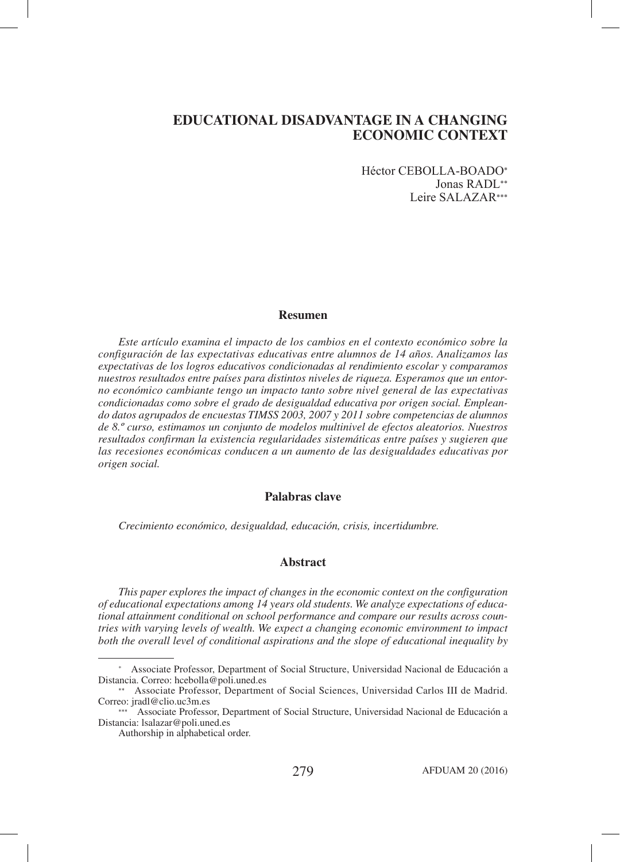Héctor CEBOLLA-BOADO\* Jonas RADL\*\* Leire SALAZAR\*\*\*

## **Resumen**

*Este artículo examina el impacto de los cambios en el contexto económico sobre la configuración de las expectativas educativas entre alumnos de 14 años. Analizamos las expectativas de los logros educativos condicionadas al rendimiento escolar y comparamos nuestros resultados entre países para distintos niveles de riqueza. Esperamos que un entorno económico cambiante tengo un impacto tanto sobre nivel general de las expectativas condicionadas como sobre el grado de desigualdad educativa por origen social. Empleando datos agrupados de encuestas TIMSS 2003, 2007 y 2011 sobre competencias de alumnos de 8.º curso, estimamos un conjunto de modelos multinivel de efectos aleatorios. Nuestros resultados confirman la existencia regularidades sistemáticas entre países y sugieren que las recesiones económicas conducen a un aumento de las desigualdades educativas por origen social.*

## **Palabras clave**

*Crecimiento económico, desigualdad, educación, crisis, incertidumbre.*

## **Abstract**

*This paper explores the impact of changes in the economic context on the configuration of educational expectations among 14 years old students. We analyze expectations of educational attainment conditional on school performance and compare our results across countries with varying levels of wealth. We expect a changing economic environment to impact both the overall level of conditional aspirations and the slope of educational inequality by* 

<sup>\*</sup> Associate Professor, Department of Social Structure, Universidad Nacional de Educación a Distancia. Correo: hcebolla@poli.uned.es

<sup>\*\*</sup> Associate Professor, Department of Social Sciences, Universidad Carlos III de Madrid. Correo: jradl@clio.uc3m.es

Associate Professor, Department of Social Structure, Universidad Nacional de Educación a Distancia: lsalazar@poli.uned.es

Authorship in alphabetical order.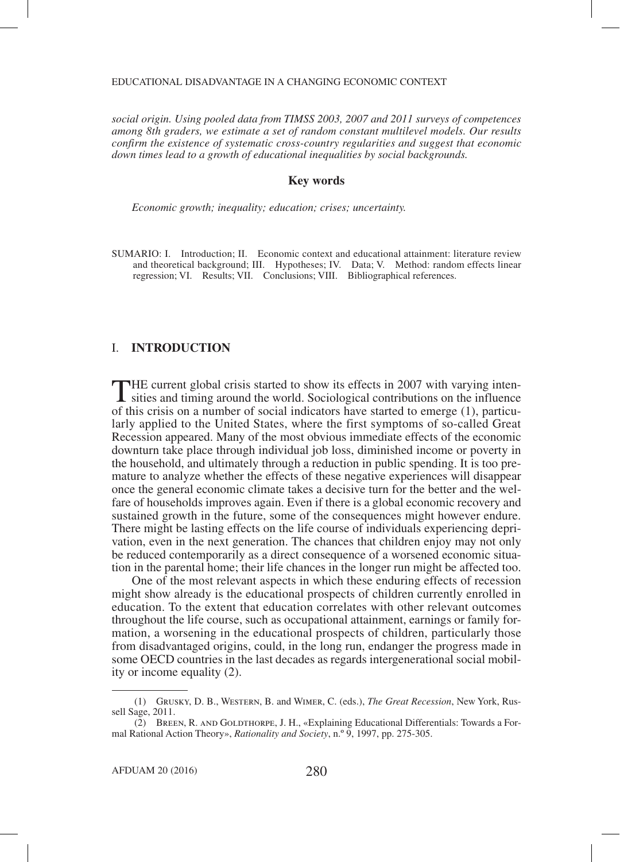*social origin. Using pooled data from TIMSS 2003, 2007 and 2011 surveys of competences among 8th graders, we estimate a set of random constant multilevel models. Our results confirm the existence of systematic cross-country regularities and suggest that economic down times lead to a growth of educational inequalities by social backgrounds.* 

## **Key words**

*Economic growth; inequality; education; crises; uncertainty.*

SUMARIO: I. Introduction; II. Economic context and educational attainment: literature review and theoretical background; III. Hypotheses; IV. Data; V. Method: random effects linear regression; VI. Results; VII. Conclusions; VIII. Bibliographical references.

## I. **INTRODUCTION**

THE current global crisis started to show its effects in 2007 with varying inten-sities and timing around the world. Sociological contributions on the influence of this crisis on a number of social indicators have started to emerge (1), particularly applied to the United States, where the first symptoms of so-called Great Recession appeared. Many of the most obvious immediate effects of the economic downturn take place through individual job loss, diminished income or poverty in the household, and ultimately through a reduction in public spending. It is too premature to analyze whether the effects of these negative experiences will disappear once the general economic climate takes a decisive turn for the better and the welfare of households improves again. Even if there is a global economic recovery and sustained growth in the future, some of the consequences might however endure. There might be lasting effects on the life course of individuals experiencing deprivation, even in the next generation. The chances that children enjoy may not only be reduced contemporarily as a direct consequence of a worsened economic situation in the parental home; their life chances in the longer run might be affected too.

One of the most relevant aspects in which these enduring effects of recession might show already is the educational prospects of children currently enrolled in education. To the extent that education correlates with other relevant outcomes throughout the life course, such as occupational attainment, earnings or family formation, a worsening in the educational prospects of children, particularly those from disadvantaged origins, could, in the long run, endanger the progress made in some OECD countries in the last decades as regards intergenerational social mobility or income equality (2).

 <sup>(1)</sup> Grusky, D. B., Western, B. and Wimer, C. (eds.), *The Great Recession*, New York, Russell Sage, 2011.

 <sup>(2)</sup> Breen, R. and Goldthorpe, J. H., «Explaining Educational Differentials: Towards a Formal Rational Action Theory», *Rationality and Society*, n.º 9, 1997, pp. 275-305.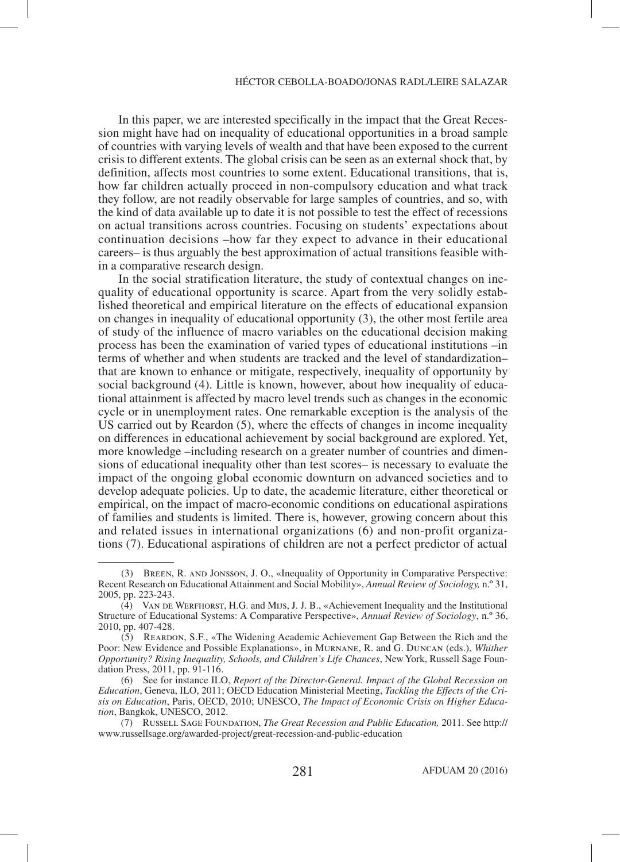In this paper, we are interested specifically in the impact that the Great Recession might have had on inequality of educational opportunities in a broad sample of countries with varying levels of wealth and that have been exposed to the current crisis to different extents. The global crisis can be seen as an external shock that, by definition, affects most countries to some extent. Educational transitions, that is, how far children actually proceed in non-compulsory education and what track they follow, are not readily observable for large samples of countries, and so, with the kind of data available up to date it is not possible to test the effect of recessions on actual transitions across countries. Focusing on students' expectations about continuation decisions –how far they expect to advance in their educational careers– is thus arguably the best approximation of actual transitions feasible within a comparative research design.

In the social stratification literature, the study of contextual changes on inequality of educational opportunity is scarce. Apart from the very solidly established theoretical and empirical literature on the effects of educational expansion on changes in inequality of educational opportunity (3), the other most fertile area of study of the influence of macro variables on the educational decision making process has been the examination of varied types of educational institutions –in terms of whether and when students are tracked and the level of standardization– that are known to enhance or mitigate, respectively, inequality of opportunity by social background (4). Little is known, however, about how inequality of educational attainment is affected by macro level trends such as changes in the economic cycle or in unemployment rates. One remarkable exception is the analysis of the US carried out by Reardon (5), where the effects of changes in income inequality on differences in educational achievement by social background are explored. Yet, more knowledge –including research on a greater number of countries and dimensions of educational inequality other than test scores– is necessary to evaluate the impact of the ongoing global economic downturn on advanced societies and to develop adequate policies. Up to date, the academic literature, either theoretical or empirical, on the impact of macro-economic conditions on educational aspirations of families and students is limited. There is, however, growing concern about this and related issues in international organizations (6) and non-profit organizations (7). Educational aspirations of children are not a perfect predictor of actual

 <sup>(3)</sup> Breen, R. and Jonsson, J. O., «Inequality of Opportunity in Comparative Perspective: Recent Research on Educational Attainment and Social Mobility», *Annual Review of Sociology,* n.º 31, 2005, pp. 223-243.

 <sup>(4)</sup> Van de Werfhorst, H.G. and Mijs, J. J. B., «Achievement Inequality and the Institutional Structure of Educational Systems: A Comparative Perspective», *Annual Review of Sociology*, n.º 36, 2010, pp. 407-428.

 <sup>(5)</sup> Reardon, S.F., «The Widening Academic Achievement Gap Between the Rich and the Poor: New Evidence and Possible Explanations», in Murnane, R. and G. Duncan (eds.), *Whither Opportunity? Rising Inequality, Schools, and Children's Life Chances*, New York, Russell Sage Foundation Press, 2011, pp. 91-116.

 <sup>(6)</sup> See for instance ILO, *Report of the Director-General. Impact of the Global Recession on Education*, Geneva, ILO, 2011; OECD Education Ministerial Meeting, *Tackling the Effects of the Crisis on Education*, Paris, OECD, 2010; UNESCO, *The Impact of Economic Crisis on Higher Education*, Bangkok, UNESCO, 2012.

 <sup>(7)</sup> Russell Sage Foundation, *The Great Recession and Public Education,* 2011. See http:// www.russellsage.org/awarded-project/great-recession-and-public-education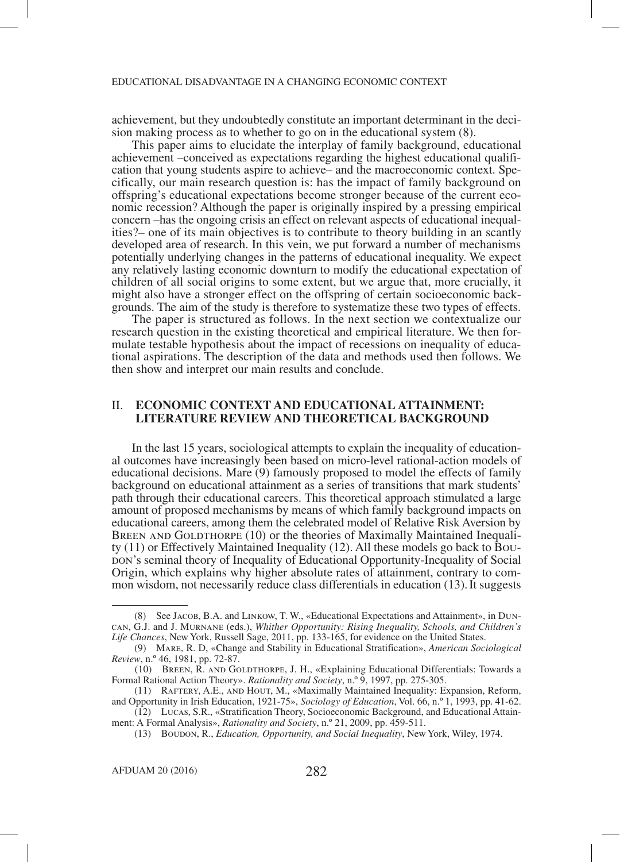achievement, but they undoubtedly constitute an important determinant in the decision making process as to whether to go on in the educational system (8).

This paper aims to elucidate the interplay of family background, educational achievement –conceived as expectations regarding the highest educational qualification that young students aspire to achieve— and the macroeconomic context. Specifically, our main research question is: has the impact of family background on offspring's educational expectations become stronger because of the current eco- nomic recession? Although the paper is originally inspired by a pressing empirical concern –has the ongoing crisis an effect on relevant aspects of educational inequal- ities?– one of its main objectives is to contribute to theory building in an scantly developed area of research. In this vein, we put forward a number of mechanisms potentially underlying changes in the patterns of educational inequality. We expect any relatively lasting economic downturn to modify the educational expectation of children of all social origins to some extent, but we argue that, more crucially, it might also have a stronger effect on the offspring of certain socioeconomic backgrounds. The aim of the study is therefore to systematize these two types of effects.

The paper is structured as follows. In the next section we contextualize our research question in the existing theoretical and empirical literature. We then formulate testable hypothesis about the impact of recessions on inequality of educational aspirations. The description of the data and methods used then follows. We then show and interpret our main results and conclude.

## II. **ECONOMIC CONTEXT AND EDUCATIONAL ATTAINMENT: LITERATURE REVIEW AND THEORETICAL BACKGROUND**

In the last 15 years, sociological attempts to explain the inequality of education- al outcomes have increasingly been based on micro-level rational-action models of educational decisions. Mare (9) famously proposed to model the effects of family background on educational attainment as a series of transitions that mark students' path through their educational careers. This theoretical approach stimulated a large amount of proposed mechanisms by means of which family background impacts on educational careers, among them the celebrated model of Relative Risk Aversion by BREEN AND GOLDTHORPE (10) or the theories of Maximally Maintained Inequality (11) or Effectively Maintained Inequality (12). All these models go back to Boubon's seminal theory of Inequality of Educational Opportunity-Inequality of Social Origin, which explains why higher absolute rates of attainment, contrary to common wisdom, not necessarily reduce class differentials in education (13).It suggests

 <sup>(8)</sup> See Jacob, B.A. and Linkow, T. W., «Educational Expectations and Attainment», in Duncan, G.J. and J. Murnane (eds.), *Whither Opportunity: Rising Inequality, Schools, and Children's Life Chances*, New York, Russell Sage, 2011, pp. 133-165, for evidence on the United States.

 <sup>(9)</sup> Mare, R. D, «Change and Stability in Educational Stratification», *American Sociological Review*, n.º 46, 1981, pp. 72-87.

 <sup>(10)</sup> Breen, R. and Goldthorpe, J. H., «Explaining Educational Differentials: Towards a Formal Rational Action Theory». *Rationality and Society*, n.º 9, 1997, pp. 275-305.

 <sup>(11)</sup> Raftery, A.E., and Hout, M., «Maximally Maintained Inequality: Expansion, Reform, and Opportunity in Irish Education, 1921-75», *Sociology of Education*, Vol. 66, n.º 1, 1993, pp. 41-62.

 <sup>(12)</sup> Lucas, S.R., «Stratification Theory, Socioeconomic Background, and Educational Attainment: A Formal Analysis», *Rationality and Society*, n.º 21, 2009, pp. 459-511.

 <sup>(13)</sup> Boudon, R., *Education, Opportunity, and Social Inequality*, New York, Wiley, 1974.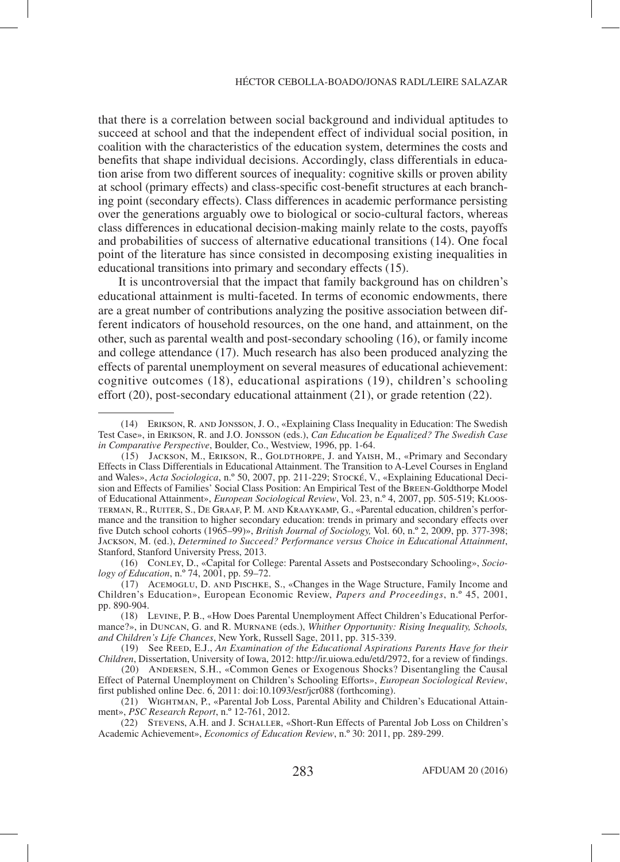that there is a correlation between social background and individual aptitudes to succeed at school and that the independent effect of individual social position, in coalition with the characteristics of the education system, determines the costs and benefits that shape individual decisions. Accordingly, class differentials in education arise from two different sources of inequality: cognitive skills or proven ability at school (primary effects) and class-specific cost-benefit structures at each branching point (secondary effects). Class differences in academic performance persisting over the generations arguably owe to biological or socio-cultural factors, whereas class differences in educational decision-making mainly relate to the costs, payoffs and probabilities of success of alternative educational transitions (14). One focal point of the literature has since consisted in decomposing existing inequalities in educational transitions into primary and secondary effects (15).

It is uncontroversial that the impact that family background has on children's educational attainment is multi-faceted. In terms of economic endowments, there are a great number of contributions analyzing the positive association between different indicators of household resources, on the one hand, and attainment, on the other, such as parental wealth and post-secondary schooling (16), or family income and college attendance (17). Much research has also been produced analyzing the effects of parental unemployment on several measures of educational achievement: cognitive outcomes (18), educational aspirations (19), children's schooling effort (20), post-secondary educational attainment (21), or grade retention (22).

 <sup>(14)</sup> Erikson, R. and Jonsson, J. O., «Explaining Class Inequality in Education: The Swedish Test Case», in Erikson, R. and J.O. Jonsson (eds.), *Can Education be Equalized? The Swedish Case in Comparative Perspective*, Boulder, Co., Westview, 1996, pp. 1-64.

 <sup>(15)</sup> Jackson, M., Erikson, R., Goldthorpe, J. and Yaish, M., «Primary and Secondary Effects in Class Differentials in Educational Attainment. The Transition to A-Level Courses in England and Wales», *Acta Sociologica*, n.º 50, 2007, pp. 211-229; Stocké, V., «Explaining Educational Decision and Effects of Families' Social Class Position: An Empirical Test of the Breen-Goldthorpe Model of Educational Attainment», *European Sociological Review*, Vol. 23, n.º 4, 2007, pp. 505-519; Kloosterman, R., Ruiter, S., De Graaf, P. M. and Kraaykamp, G., «Parental education, children's performance and the transition to higher secondary education: trends in primary and secondary effects over five Dutch school cohorts (1965–99)», *British Journal of Sociology,* Vol. 60, n.º 2, 2009, pp. 377-398; Jackson, M. (ed.), *Determined to Succeed? Performance versus Choice in Educational Attainment*, Stanford, Stanford University Press, 2013.

 <sup>(16)</sup> Conley, D., «Capital for College: Parental Assets and Postsecondary Schooling», *Sociology of Education*, n.º 74, 2001, pp. 59–72.

 <sup>(17)</sup> Acemoglu, D. and Pischke, S., «Changes in the Wage Structure, Family Income and Children's Education», European Economic Review, *Papers and Proceedings*, n.º 45, 2001, pp. 890-904.

 <sup>(18)</sup> Levine, P. B., «How Does Parental Unemployment Affect Children's Educational Performance?», in Duncan, G. and R. Murnane (eds.), *Whither Opportunity: Rising Inequality, Schools, and Children's Life Chances*, New York, Russell Sage, 2011, pp. 315-339.

<sup>(19)</sup> See REED, E.J., An Examination of the Educational Aspirations Parents Have for their *Children*, Dissertation, University of Iowa, 2012: http://ir.uiowa.edu/etd/2972, for a review of findings.

 <sup>(20)</sup> Andersen, S.H., «Common Genes or Exogenous Shocks? Disentangling the Causal Effect of Paternal Unemployment on Children's Schooling Efforts», *European Sociological Review*, first published online Dec. 6, 2011: doi:10.1093/esr/jcr088 (forthcoming).

 <sup>(21)</sup> Wightman, P., «Parental Job Loss, Parental Ability and Children's Educational Attainment», *PSC Research Report*, n.º 12-761, 2012.

 <sup>(22)</sup> Stevens, A.H. and J. Schaller, «Short-Run Effects of Parental Job Loss on Children's Academic Achievement», *Economics of Education Review*, n.º 30: 2011, pp. 289-299.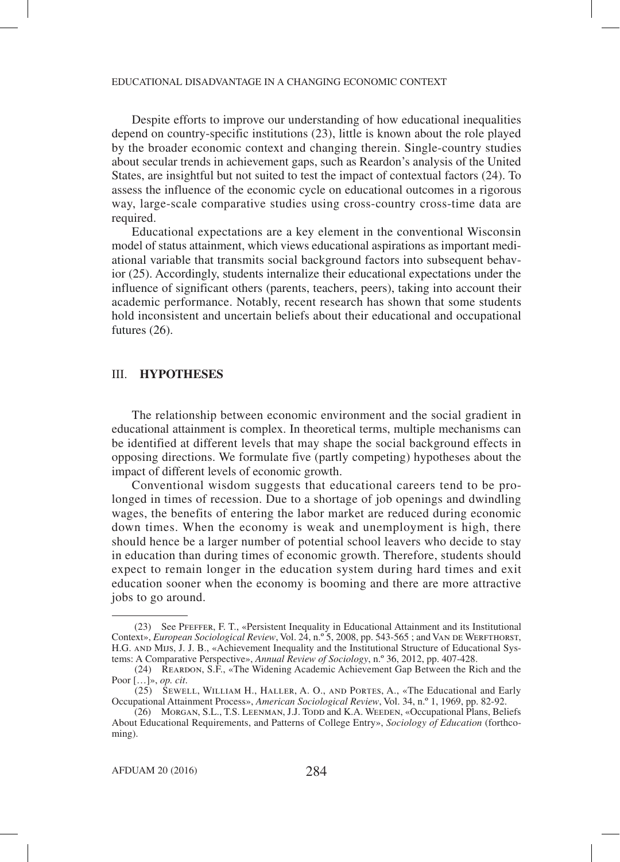Despite efforts to improve our understanding of how educational inequalities depend on country-specific institutions (23), little is known about the role played by the broader economic context and changing therein. Single-country studies about secular trends in achievement gaps, such as Reardon's analysis of the United States, are insightful but not suited to test the impact of contextual factors (24). To assess the influence of the economic cycle on educational outcomes in a rigorous way, large-scale comparative studies using cross-country cross-time data are required.

Educational expectations are a key element in the conventional Wisconsin model of status attainment, which views educational aspirations as important mediational variable that transmits social background factors into subsequent behavior (25). Accordingly, students internalize their educational expectations under the influence of significant others (parents, teachers, peers), taking into account their academic performance. Notably, recent research has shown that some students hold inconsistent and uncertain beliefs about their educational and occupational futures (26).

# III. **HYPOTHESES**

The relationship between economic environment and the social gradient in educational attainment is complex. In theoretical terms, multiple mechanisms can be identified at different levels that may shape the social background effects in opposing directions. We formulate five (partly competing) hypotheses about the impact of different levels of economic growth.

Conventional wisdom suggests that educational careers tend to be prolonged in times of recession. Due to a shortage of job openings and dwindling wages, the benefits of entering the labor market are reduced during economic down times. When the economy is weak and unemployment is high, there should hence be a larger number of potential school leavers who decide to stay in education than during times of economic growth. Therefore, students should expect to remain longer in the education system during hard times and exit education sooner when the economy is booming and there are more attractive jobs to go around.

 <sup>(23)</sup> See Pfeffer, F. T., «Persistent Inequality in Educational Attainment and its Institutional Context», *European Sociological Review*, Vol. 24, n.º 5, 2008, pp. 543-565 ; and VAN DE WERFTHORST, H.G. and Mijs, J. J. B., «Achievement Inequality and the Institutional Structure of Educational Systems: A Comparative Perspective», *Annual Review of Sociology*, n.º 36, 2012, pp. 407-428.

 <sup>(24)</sup> Reardon, S.F., «The Widening Academic Achievement Gap Between the Rich and the Poor […]», *op. cit*.

 $(25)$  SEWELL, WILLIAM H., HALLER, A. O., AND PORTES, A., «The Educational and Early Occupational Attainment Process», *American Sociological Review*, Vol. 34, n.º 1, 1969, pp. 82-92.

<sup>(26)</sup> MORGAN, S.L., T.S. LEENMAN, J.J. TODD and K.A. WEEDEN, «Occupational Plans, Beliefs About Educational Requirements, and Patterns of College Entry», *Sociology of Education* (forthcoming).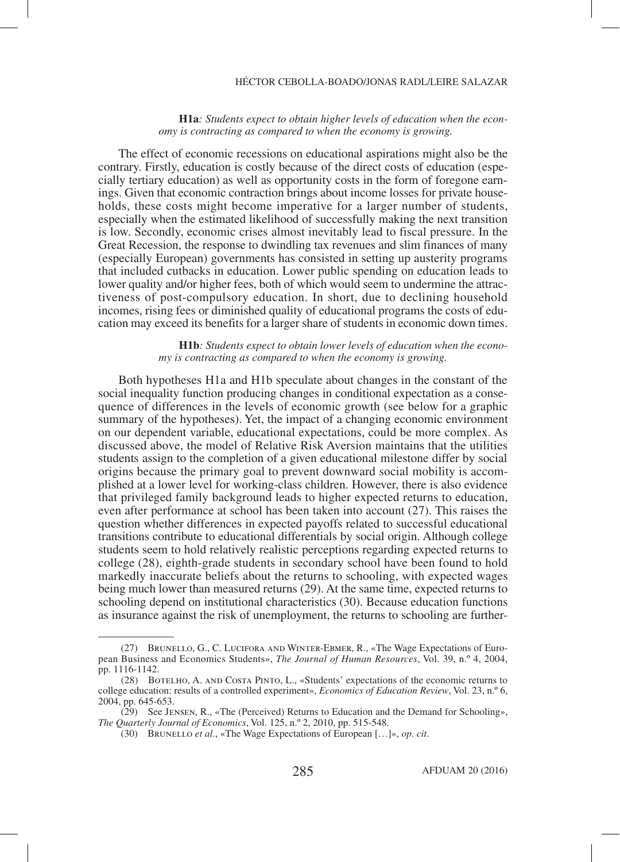#### HÉCTOR CEBOLLA-BOADO/JONAS RADL/LEIRE SALAZAR

#### **H1a***: Students expect to obtain higher levels of education when the economy is contracting as compared to when the economy is growing.*

The effect of economic recessions on educational aspirations might also be the contrary. Firstly, education is costly because of the direct costs of education (especially tertiary education) as well as opportunity costs in the form of foregone earnings. Given that economic contraction brings about income losses for private households, these costs might become imperative for a larger number of students, especially when the estimated likelihood of successfully making the next transition is low. Secondly, economic crises almost inevitably lead to fiscal pressure. In the Great Recession, the response to dwindling tax revenues and slim finances of many (especially European) governments has consisted in setting up austerity programs that included cutbacks in education. Lower public spending on education leads to lower quality and/or higher fees, both of which would seem to undermine the attractiveness of post-compulsory education. In short, due to declining household incomes, rising fees or diminished quality of educational programs the costs of education may exceed its benefits for a larger share of students in economic down times.

#### **H1b***: Students expect to obtain lower levels of education when the economy is contracting as compared to when the economy is growing.*

Both hypotheses H1a and H1b speculate about changes in the constant of the social inequality function producing changes in conditional expectation as a consequence of differences in the levels of economic growth (see below for a graphic summary of the hypotheses). Yet, the impact of a changing economic environment on our dependent variable, educational expectations, could be more complex. As discussed above, the model of Relative Risk Aversion maintains that the utilities students assign to the completion of a given educational milestone differ by social origins because the primary goal to prevent downward social mobility is accomplished at a lower level for working-class children. However, there is also evidence that privileged family background leads to higher expected returns to education, even after performance at school has been taken into account (27). This raises the question whether differences in expected payoffs related to successful educational transitions contribute to educational differentials by social origin. Although college students seem to hold relatively realistic perceptions regarding expected returns to college (28), eighth-grade students in secondary school have been found to hold markedly inaccurate beliefs about the returns to schooling, with expected wages being much lower than measured returns (29). At the same time, expected returns to schooling depend on institutional characteristics (30). Because education functions as insurance against the risk of unemployment, the returns to schooling are further-

 <sup>(27)</sup> Brunello, G., C. Lucifora and Winter-Ebmer, R., «The Wage Expectations of European Business and Economics Students», *The Journal of Human Resources*, Vol. 39, n.º 4, 2004, pp. 1116-1142.

 <sup>(28)</sup> Botelho, A. and Costa Pinto, L., «Students' expectations of the economic returns to college education: results of a controlled experiment», *Economics of Education Review*, Vol. 23, n.º 6, 2004, pp. 645-653.

 <sup>(29)</sup> See Jensen, R., «The (Perceived) Returns to Education and the Demand for Schooling», *The Quarterly Journal of Economics*, Vol. 125, n.º 2, 2010, pp. 515-548.

 <sup>(30)</sup> Brunello *et al*., «The Wage Expectations of European […]», *op. cit*.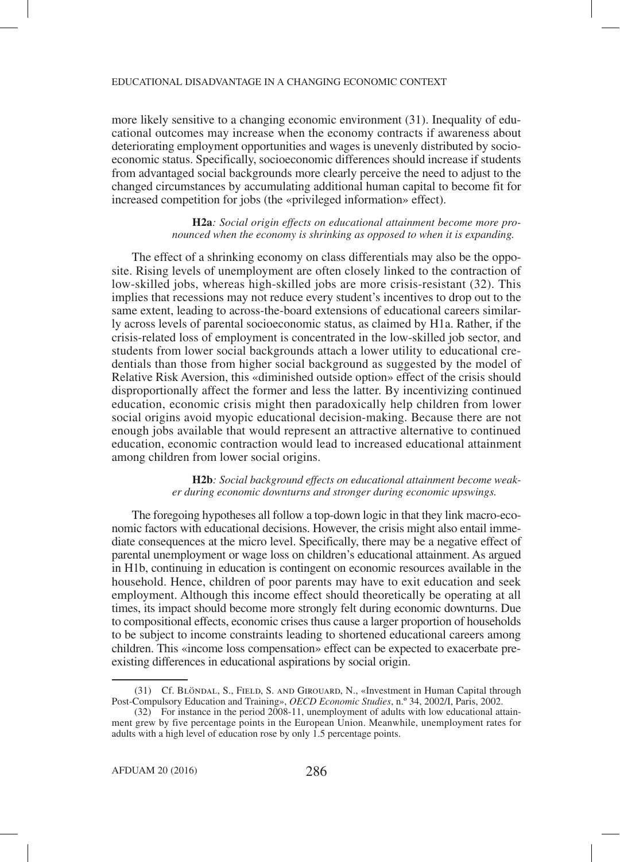more likely sensitive to a changing economic environment (31). Inequality of educational outcomes may increase when the economy contracts if awareness about deteriorating employment opportunities and wages is unevenly distributed by socioeconomic status. Specifically, socioeconomic differences should increase if students from advantaged social backgrounds more clearly perceive the need to adjust to the changed circumstances by accumulating additional human capital to become fit for increased competition for jobs (the «privileged information» effect).

> **H2a***: Social origin effects on educational attainment become more pronounced when the economy is shrinking as opposed to when it is expanding.*

The effect of a shrinking economy on class differentials may also be the opposite. Rising levels of unemployment are often closely linked to the contraction of low-skilled jobs, whereas high-skilled jobs are more crisis-resistant (32). This implies that recessions may not reduce every student's incentives to drop out to the same extent, leading to across-the-board extensions of educational careers similarly across levels of parental socioeconomic status, as claimed by H1a. Rather, if the crisis-related loss of employment is concentrated in the low-skilled job sector, and students from lower social backgrounds attach a lower utility to educational credentials than those from higher social background as suggested by the model of Relative Risk Aversion, this «diminished outside option» effect of the crisis should disproportionally affect the former and less the latter. By incentivizing continued education, economic crisis might then paradoxically help children from lower social origins avoid myopic educational decision-making. Because there are not enough jobs available that would represent an attractive alternative to continued education, economic contraction would lead to increased educational attainment among children from lower social origins.

> **H2b***: Social background effects on educational attainment become weaker during economic downturns and stronger during economic upswings.*

The foregoing hypotheses all follow a top-down logic in that they link macro-economic factors with educational decisions. However, the crisis might also entail immediate consequences at the micro level. Specifically, there may be a negative effect of parental unemployment or wage loss on children's educational attainment. As argued in H1b, continuing in education is contingent on economic resources available in the household. Hence, children of poor parents may have to exit education and seek employment. Although this income effect should theoretically be operating at all times, its impact should become more strongly felt during economic downturns. Due to compositional effects, economic crises thus cause a larger proportion of households to be subject to income constraints leading to shortened educational careers among children. This «income loss compensation» effect can be expected to exacerbate preexisting differences in educational aspirations by social origin.

 <sup>(31)</sup> Cf. Blöndal, S., Field, S. and Girouard, N., «Investment in Human Capital through Post-Compulsory Education and Training», *OECD Economic Studies*, n.º 34, 2002/I, Paris, 2002.

 <sup>(32)</sup> For instance in the period 2008-11, unemployment of adults with low educational attainment grew by five percentage points in the European Union. Meanwhile, unemployment rates for adults with a high level of education rose by only 1.5 percentage points.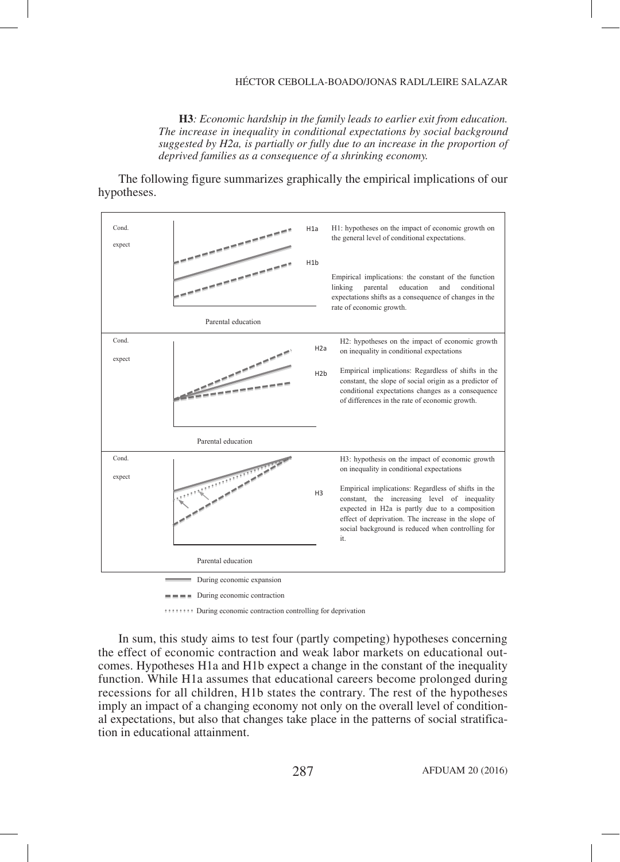## HÉCTOR CEBOLLA-BOADO/JONAS RADL/LEIRE SALAZAR

**H3***: Economic hardship in the family leads to earlier exit from education. The increase in inequality in conditional expectations by social background suggested by H2a, is partially or fully due to an increase in the proportion of deprived families as a consequence of a shrinking economy.*

The following figure summarizes graphically the empirical implications of our hypotheses.



During economic contraction controlling for deprivation

In sum, this study aims to test four (partly competing) hypotheses concerning the effect of economic contraction and weak labor markets on educational outcomes. Hypotheses H1a and H1b expect a change in the constant of the inequality function. While H1a assumes that educational careers become prolonged during recessions for all children, H1b states the contrary. The rest of the hypotheses imply an impact of a changing economy not only on the overall level of conditional expectations, but also that changes take place in the patterns of social stratification in educational attainment.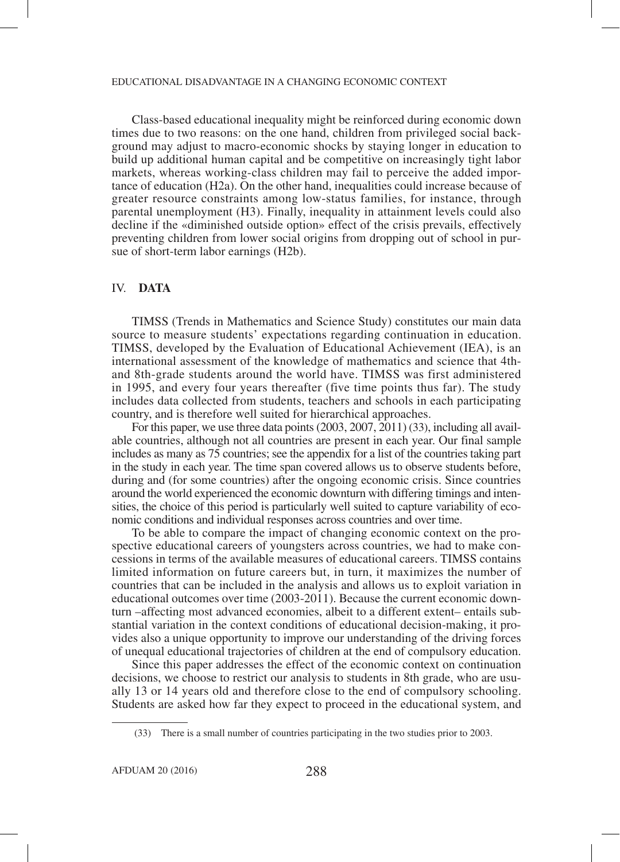Class-based educational inequality might be reinforced during economic down times due to two reasons: on the one hand, children from privileged social background may adjust to macro-economic shocks by staying longer in education to build up additional human capital and be competitive on increasingly tight labor markets, whereas working-class children may fail to perceive the added importance of education (H2a). On the other hand, inequalities could increase because of greater resource constraints among low-status families, for instance, through parental unemployment (H3). Finally, inequality in attainment levels could also decline if the «diminished outside option» effect of the crisis prevails, effectively preventing children from lower social origins from dropping out of school in pursue of short-term labor earnings (H2b).

## IV. **DATA**

TIMSS (Trends in Mathematics and Science Study) constitutes our main data source to measure students' expectations regarding continuation in education. TIMSS, developed by the Evaluation of Educational Achievement (IEA), is an international assessment of the knowledge of mathematics and science that 4thand 8th-grade students around the world have. TIMSS was first administered in 1995, and every four years thereafter (five time points thus far). The study includes data collected from students, teachers and schools in each participating country, and is therefore well suited for hierarchical approaches.

For this paper, we use three data points (2003, 2007, 2011) (33), including all available countries, although not all countries are present in each year. Our final sample includes as many as 75 countries; see the appendix for a list of the countries taking part in the study in each year. The time span covered allows us to observe students before, during and (for some countries) after the ongoing economic crisis. Since countries around the world experienced the economic downturn with differing timings and intensities, the choice of this period is particularly well suited to capture variability of economic conditions and individual responses across countries and over time.

To be able to compare the impact of changing economic context on the prospective educational careers of youngsters across countries, we had to make concessions in terms of the available measures of educational careers. TIMSS contains limited information on future careers but, in turn, it maximizes the number of countries that can be included in the analysis and allows us to exploit variation in educational outcomes over time (2003-2011). Because the current economic downturn –affecting most advanced economies, albeit to a different extent– entails substantial variation in the context conditions of educational decision-making, it provides also a unique opportunity to improve our understanding of the driving forces of unequal educational trajectories of children at the end of compulsory education.

Since this paper addresses the effect of the economic context on continuation decisions, we choose to restrict our analysis to students in 8th grade, who are usually 13 or 14 years old and therefore close to the end of compulsory schooling. Students are asked how far they expect to proceed in the educational system, and

 <sup>(33)</sup> There is a small number of countries participating in the two studies prior to 2003.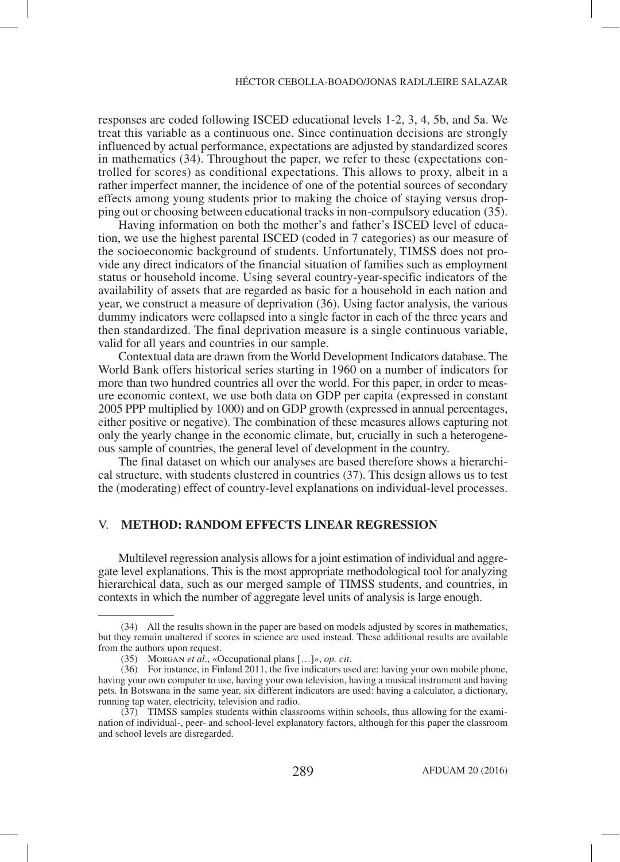responses are coded following ISCED educational levels 1-2, 3, 4, 5b, and 5a. We treat this variable as a continuous one. Since continuation decisions are strongly influenced by actual performance, expectations are adjusted by standardized scores in mathematics (34). Throughout the paper, we refer to these (expectations controlled for scores) as conditional expectations. This allows to proxy, albeit in a rather imperfect manner, the incidence of one of the potential sources of secondary effects among young students prior to making the choice of staying versus dropping out or choosing between educational tracks in non-compulsory education (35).

Having information on both the mother's and father's ISCED level of education, we use the highest parental ISCED (coded in 7 categories) as our measure of the socioeconomic background of students. Unfortunately, TIMSS does not provide any direct indicators of the financial situation of families such as employment status or household income. Using several country-year-specific indicators of the availability of assets that are regarded as basic for a household in each nation and year, we construct a measure of deprivation (36). Using factor analysis, the various dummy indicators were collapsed into a single factor in each of the three years and then standardized. The final deprivation measure is a single continuous variable, valid for all years and countries in our sample.

Contextual data are drawn from the World Development Indicators database. The World Bank offers historical series starting in 1960 on a number of indicators for more than two hundred countries all over the world. For this paper, in order to measure economic context, we use both data on GDP per capita (expressed in constant 2005 PPP multiplied by 1000) and on GDP growth (expressed in annual percentages, either positive or negative). The combination of these measures allows capturing not only the yearly change in the economic climate, but, crucially in such a heterogeneous sample of countries, the general level of development in the country.

The final dataset on which our analyses are based therefore shows a hierarchical structure, with students clustered in countries (37). This design allows us to test the (moderating) effect of country-level explanations on individual-level processes.

## V. **METHOD: RANDOM EFFECTS LINEAR REGRESSION**

Multilevel regression analysis allows for a joint estimation of individual and aggregate level explanations. This is the most appropriate methodological tool for analyzing hierarchical data, such as our merged sample of TIMSS students, and countries, in contexts in which the number of aggregate level units of analysis is large enough.

 <sup>(34)</sup> All the results shown in the paper are based on models adjusted by scores in mathematics, but they remain unaltered if scores in science are used instead. These additional results are available from the authors upon request.

 <sup>(35)</sup> Morgan *et al*., «Occupational plans […]», *op. cit*.

 <sup>(36)</sup> For instance, in Finland 2011, the five indicators used are: having your own mobile phone, having your own computer to use, having your own television, having a musical instrument and having pets. In Botswana in the same year, six different indicators are used: having a calculator, a dictionary, running tap water, electricity, television and radio.

 <sup>(37)</sup> TIMSS samples students within classrooms within schools, thus allowing for the examination of individual-, peer- and school-level explanatory factors, although for this paper the classroom and school levels are disregarded.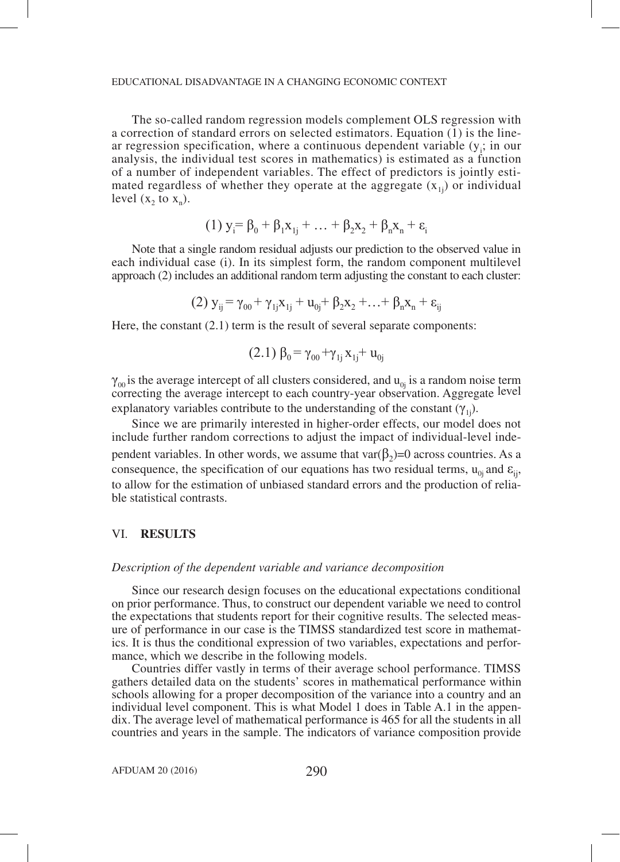The so-called random regression models complement OLS regression with a correction of standard errors on selected estimators. Equation (1) is the linear regression specification, where a continuous dependent variable  $(y<sub>i</sub>)$ ; in our analysis, the individual test scores in mathematics) is estimated as a function of a number of independent variables. The effect of predictors is jointly estimated regardless of whether they operate at the aggregate  $(x_{1i})$  or individual level  $(x, to x_n)$ .

(1) 
$$
y_i = \beta_0 + \beta_1 x_{1j} + \dots + \beta_2 x_2 + \beta_n x_n + \varepsilon_i
$$

Note that a single random residual adjusts our prediction to the observed value in each individual case (i). In its simplest form, the random component multilevel approach (2) includes an additional random term adjusting the constant to each cluster:

(2) 
$$
y_{ij} = \gamma_{00} + \gamma_{1j}x_{1j} + u_{0j} + \beta_2x_2 + ... + \beta_nx_n + \epsilon_{ij}
$$

Here, the constant  $(2.1)$  term is the result of several separate components:

$$
(2.1) \beta_0 = \gamma_{00} + \gamma_{1j} x_{1j} + u_{0j}
$$

 $\gamma_{00}$  is the average intercept of all clusters considered, and  $u_{0j}$  is a random noise term correcting the average intercept to each country-year observation. Aggregate level explanatory variables contribute to the understanding of the constant  $(\gamma_{1i})$ .

Since we are primarily interested in higher-order effects, our model does not include further random corrections to adjust the impact of individual-level independent variables. In other words, we assume that var $(\beta_2)=0$  across countries. As a consequence, the specification of our equations has two residual terms,  $u_{0i}$  and  $\varepsilon_{ii}$ , to allow for the estimation of unbiased standard errors and the production of reliable statistical contrasts.

# VI. **RESULTS**

## *Description of the dependent variable and variance decomposition*

Since our research design focuses on the educational expectations conditional on prior performance. Thus, to construct our dependent variable we need to control the expectations that students report for their cognitive results. The selected measure of performance in our case is the TIMSS standardized test score in mathematics. It is thus the conditional expression of two variables, expectations and performance, which we describe in the following models.

Countries differ vastly in terms of their average school performance. TIMSS gathers detailed data on the students' scores in mathematical performance within schools allowing for a proper decomposition of the variance into a country and an individual level component. This is what Model 1 does in Table A.1 in the appendix. The average level of mathematical performance is 465 for all the students in all countries and years in the sample. The indicators of variance composition provide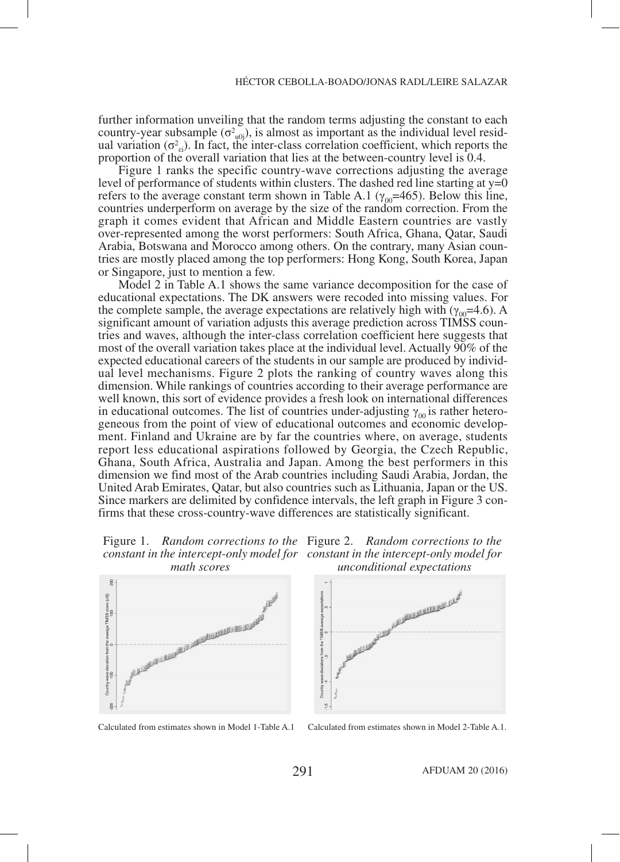further information unveiling that the random terms adjusting the constant to each country-year subsample  $(\sigma^2_{\text{u0j}})$ , is almost as important as the individual level residual variation  $(\sigma_{el}^2)$ . In fact, the inter-class correlation coefficient, which reports the proportion of the overall variation that lies at the between-country level is 0.4.

Figure 1 ranks the specific country-wave corrections adjusting the average level of performance of students within clusters. The dashed red line starting at  $y=0$ refers to the average constant term shown in Table A.1 ( $\gamma_{00}$ =465). Below this line, countries underperform on average by the size of the random correction. From the graph it comes evident that African and Middle Eastern countries are vastly over-represented among the worst performers: South Africa, Ghana, Qatar, Saudi Arabia, Botswana and Morocco among others. On the contrary, many Asian countries are mostly placed among the top performers: Hong Kong, South Korea, Japan or Singapore, just to mention a few.

Model 2 in Table A.1 shows the same variance decomposition for the case of educational expectations. The DK answers were recoded into missing values. For the complete sample, the average expectations are relatively high with ( $\gamma_{00}$ =4.6). A significant amount of variation adjusts this average prediction across TIMSS countries and waves, although the inter-class correlation coefficient here suggests that most of the overall variation takes place at the individual level. Actually 90% of the expected educational careers of the students in our sample are produced by individual level mechanisms. Figure 2 plots the ranking of country waves along this dimension. While rankings of countries according to their average performance are well known, this sort of evidence provides a fresh look on international differences in educational outcomes. The list of countries under-adjusting  $\gamma_{00}$  is rather heterogeneous from the point of view of educational outcomes and economic development. Finland and Ukraine are by far the countries where, on average, students report less educational aspirations followed by Georgia, the Czech Republic, Ghana, South Africa, Australia and Japan. Among the best performers in this dimension we find most of the Arab countries including Saudi Arabia, Jordan, the United Arab Emirates, Qatar, but also countries such as Lithuania, Japan or the US. Since markers are delimited by confidence intervals, the left graph in Figure 3 confirms that these cross-country-wave differences are statistically significant.









Calculated from estimates shown in Model 1-Table A.1 Calculated from estimates shown in Model 2-Table A.1.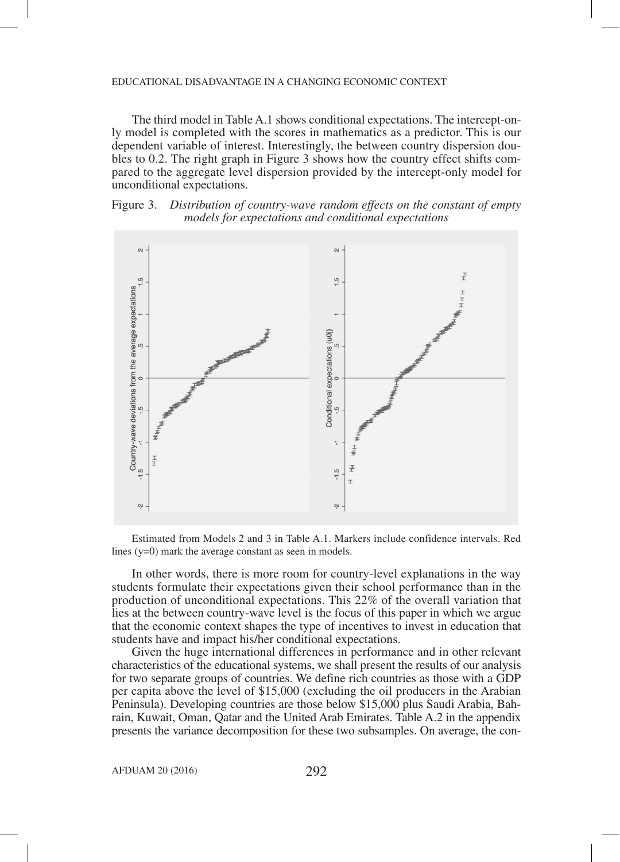The third model in Table A.1 shows conditional expectations. The intercept-only model is completed with the scores in mathematics as a predictor. This is our dependent variable of interest. Interestingly, the between country dispersion doubles to 0.2. The right graph in Figure 3 shows how the country effect shifts compared to the aggregate level dispersion provided by the intercept-only model for unconditional expectations.





Estimated from Models 2 and 3 in Table A.1. Markers include confidence intervals. Red lines (y=0) mark the average constant as seen in models.

In other words, there is more room for country-level explanations in the way students formulate their expectations given their school performance than in the production of unconditional expectations. This 22% of the overall variation that lies at the between country-wave level is the focus of this paper in which we argue that the economic context shapes the type of incentives to invest in education that students have and impact his/her conditional expectations.

Given the huge international differences in performance and in other relevant characteristics of the educational systems, we shall present the results of our analysis for two separate groups of countries. We define rich countries as those with a GDP per capita above the level of \$15,000 (excluding the oil producers in the Arabian Peninsula). Developing countries are those below \$15,000 plus Saudi Arabia, Bahrain, Kuwait, Oman, Qatar and the United Arab Emirates. Table A.2 in the appendix presents the variance decomposition for these two subsamples. On average, the con-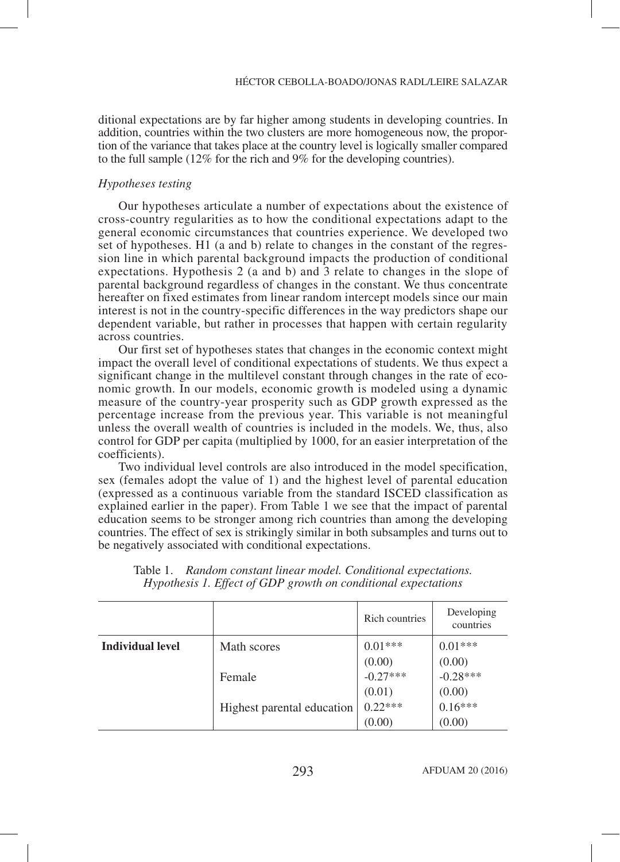ditional expectations are by far higher among students in developing countries. In addition, countries within the two clusters are more homogeneous now, the proportion of the variance that takes place at the country level is logically smaller compared to the full sample (12% for the rich and 9% for the developing countries).

#### *Hypotheses testing*

Our hypotheses articulate a number of expectations about the existence of cross-country regularities as to how the conditional expectations adapt to the general economic circumstances that countries experience. We developed two set of hypotheses. H1 (a and b) relate to changes in the constant of the regression line in which parental background impacts the production of conditional expectations. Hypothesis 2 (a and b) and 3 relate to changes in the slope of parental background regardless of changes in the constant. We thus concentrate hereafter on fixed estimates from linear random intercept models since our main interest is not in the country-specific differences in the way predictors shape our dependent variable, but rather in processes that happen with certain regularity across countries.

Our first set of hypotheses states that changes in the economic context might impact the overall level of conditional expectations of students. We thus expect a significant change in the multilevel constant through changes in the rate of economic growth. In our models, economic growth is modeled using a dynamic measure of the country-year prosperity such as GDP growth expressed as the percentage increase from the previous year. This variable is not meaningful unless the overall wealth of countries is included in the models. We, thus, also control for GDP per capita (multiplied by 1000, for an easier interpretation of the coefficients).

Two individual level controls are also introduced in the model specification, sex (females adopt the value of 1) and the highest level of parental education (expressed as a continuous variable from the standard ISCED classification as explained earlier in the paper). From Table 1 we see that the impact of parental education seems to be stronger among rich countries than among the developing countries. The effect of sex is strikingly similar in both subsamples and turns out to be negatively associated with conditional expectations.

|                  |                            | Rich countries       | Developing<br>countries |
|------------------|----------------------------|----------------------|-------------------------|
| Individual level | Math scores                | $0.01***$            | $0.01***$               |
|                  | Female                     | (0.00)<br>$-0.27***$ | (0.00)<br>$-0.28***$    |
|                  | Highest parental education | (0.01)<br>$0.22***$  | (0.00)<br>$0.16***$     |
|                  |                            | (0.00)               | (0.00)                  |

Table 1. *Random constant linear model. Conditional expectations. Hypothesis 1. Effect of GDP growth on conditional expectations*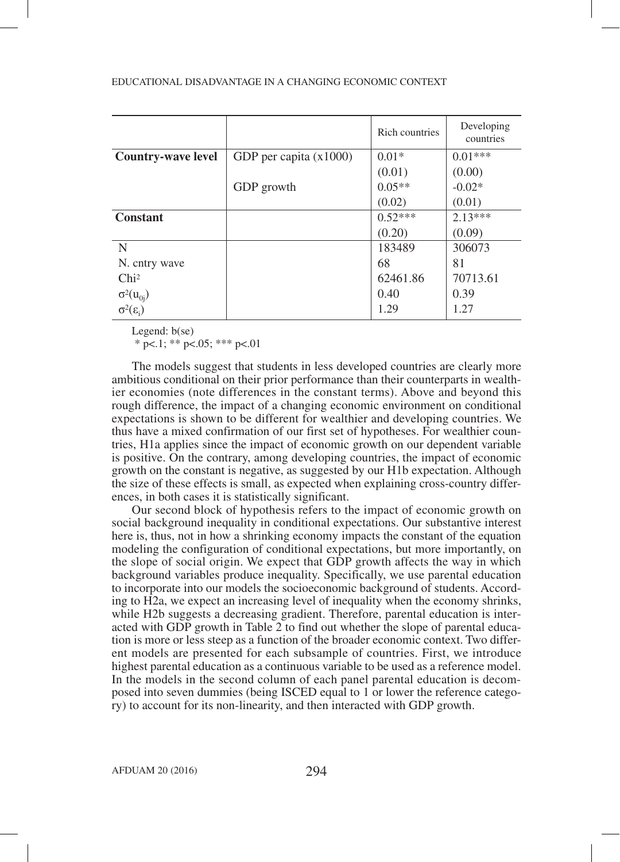|                                              |                          | Rich countries | Developing<br>countries |
|----------------------------------------------|--------------------------|----------------|-------------------------|
| <b>Country-wave level</b>                    | GDP per capita $(x1000)$ | $0.01*$        | $0.01***$               |
|                                              |                          | (0.01)         | (0.00)                  |
|                                              | GDP growth               | $0.05**$       | $-0.02*$                |
|                                              |                          | (0.02)         | (0.01)                  |
| <b>Constant</b>                              |                          | $0.52***$      | $2.13***$               |
|                                              |                          | (0.20)         | (0.09)                  |
| N                                            |                          | 183489         | 306073                  |
| N. cntry wave                                |                          | 68             | 81                      |
| Chi <sup>2</sup>                             |                          | 62461.86       | 70713.61                |
|                                              |                          | 0.40           | 0.39                    |
| $\sigma^2(u_{0j})$<br>$\sigma^2(\epsilon_i)$ |                          | 1.29           | 1.27                    |

Legend: b(se)

 $*$  p $< 1$ ;  $*$  p $< 0.05$ ;  $*$   $*$  p $< 0.01$ 

The models suggest that students in less developed countries are clearly more ambitious conditional on their prior performance than their counterparts in wealthier economies (note differences in the constant terms). Above and beyond this rough difference, the impact of a changing economic environment on conditional expectations is shown to be different for wealthier and developing countries. We thus have a mixed confirmation of our first set of hypotheses. For wealthier countries, H1a applies since the impact of economic growth on our dependent variable is positive. On the contrary, among developing countries, the impact of economic growth on the constant is negative, as suggested by our H1b expectation. Although the size of these effects is small, as expected when explaining cross-country differences, in both cases it is statistically significant.

Our second block of hypothesis refers to the impact of economic growth on social background inequality in conditional expectations. Our substantive interest here is, thus, not in how a shrinking economy impacts the constant of the equation modeling the configuration of conditional expectations, but more importantly, on the slope of social origin. We expect that GDP growth affects the way in which background variables produce inequality. Specifically, we use parental education to incorporate into our models the socioeconomic background of students. According to H2a, we expect an increasing level of inequality when the economy shrinks, while H2b suggests a decreasing gradient. Therefore, parental education is interacted with GDP growth in Table 2 to find out whether the slope of parental education is more or less steep as a function of the broader economic context. Two different models are presented for each subsample of countries. First, we introduce highest parental education as a continuous variable to be used as a reference model. In the models in the second column of each panel parental education is decomposed into seven dummies (being ISCED equal to 1 or lower the reference category) to account for its non-linearity, and then interacted with GDP growth.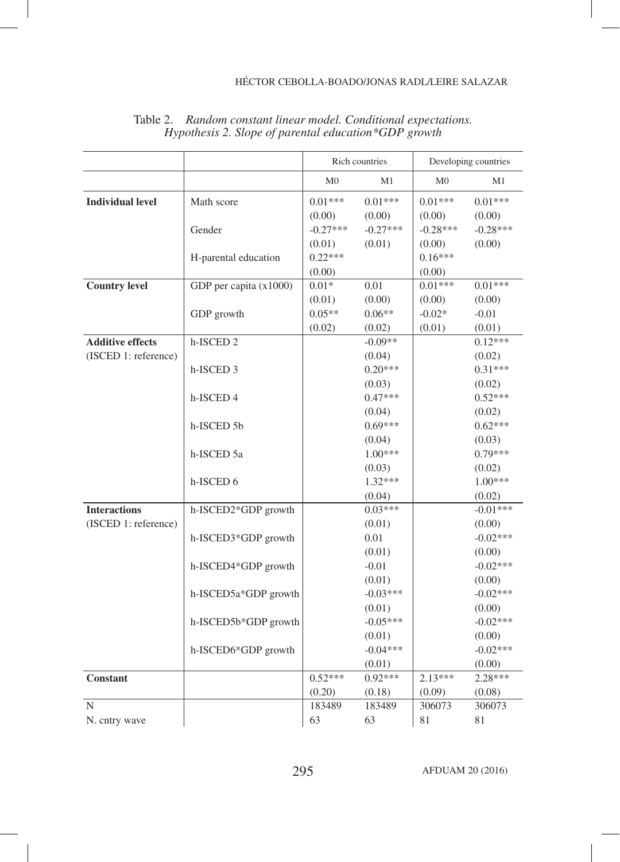|                                                 |                        |                      | Rich countries       |                      | Developing countries |
|-------------------------------------------------|------------------------|----------------------|----------------------|----------------------|----------------------|
|                                                 |                        | M <sub>0</sub>       | M1                   | M <sub>0</sub>       | M1                   |
| <b>Individual level</b>                         | Math score             | $0.01***$<br>(0.00)  | $0.01***$<br>(0.00)  | $0.01***$<br>(0.00)  | $0.01***$<br>(0.00)  |
|                                                 | Gender                 | $-0.27***$<br>(0.01) | $-0.27***$<br>(0.01) | $-0.28***$<br>(0.00) | $-0.28***$<br>(0.00) |
|                                                 | H-parental education   | $0.22***$<br>(0.00)  |                      | $0.16***$<br>(0.00)  |                      |
| <b>Country level</b>                            | GDP per capita (x1000) | $0.01*$<br>(0.01)    | 0.01<br>(0.00)       | $0.01***$<br>(0.00)  | $0.01***$<br>(0.00)  |
|                                                 | GDP growth             | $0.05**$<br>(0.02)   | $0.06**$<br>(0.02)   | $-0.02*$<br>(0.01)   | $-0.01$<br>(0.01)    |
| <b>Additive effects</b><br>(ISCED 1: reference) | h-ISCED <sub>2</sub>   |                      | $-0.09**$<br>(0.04)  |                      | $0.12***$<br>(0.02)  |
|                                                 | h-ISCED <sub>3</sub>   |                      | $0.20***$<br>(0.03)  |                      | $0.31***$<br>(0.02)  |
|                                                 | h-ISCED 4              |                      | $0.47***$<br>(0.04)  |                      | $0.52***$<br>(0.02)  |
|                                                 | h-ISCED 5b             |                      | $0.69***$<br>(0.04)  |                      | $0.62***$<br>(0.03)  |
|                                                 | h-ISCED 5a             |                      | $1.00***$<br>(0.03)  |                      | $0.79***$<br>(0.02)  |
|                                                 | h-ISCED 6              |                      | $1.32***$<br>(0.04)  |                      | $1.00***$<br>(0.02)  |
| <b>Interactions</b><br>(ISCED 1: reference)     | h-ISCED2*GDP growth    |                      | $0.03***$<br>(0.01)  |                      | $-0.01***$<br>(0.00) |
|                                                 | h-ISCED3*GDP growth    |                      | 0.01<br>(0.01)       |                      | $-0.02***$<br>(0.00) |
|                                                 | h-ISCED4*GDP growth    |                      | $-0.01$<br>(0.01)    |                      | $-0.02***$<br>(0.00) |
|                                                 | h-ISCED5a*GDP growth   |                      | $-0.03***$<br>(0.01) |                      | $-0.02***$<br>(0.00) |
|                                                 | h-ISCED5b*GDP growth   |                      | $-0.05***$<br>(0.01) |                      | $-0.02***$<br>(0.00) |
|                                                 | h-ISCED6*GDP growth    |                      | $-0.04***$<br>(0.01) |                      | $-0.02***$<br>(0.00) |
| <b>Constant</b>                                 |                        | $0.52***$<br>(0.20)  | $0.92***$<br>(0.18)  | $2.13***$<br>(0.09)  | $2.28***$<br>(0.08)  |
| N<br>N. cntry wave                              |                        | 183489<br>63         | 183489<br>63         | 306073<br>81         | 306073<br>81         |

Table 2. *Random constant linear model. Conditional expectations. Hypothesis 2. Slope of parental education\*GDP growth*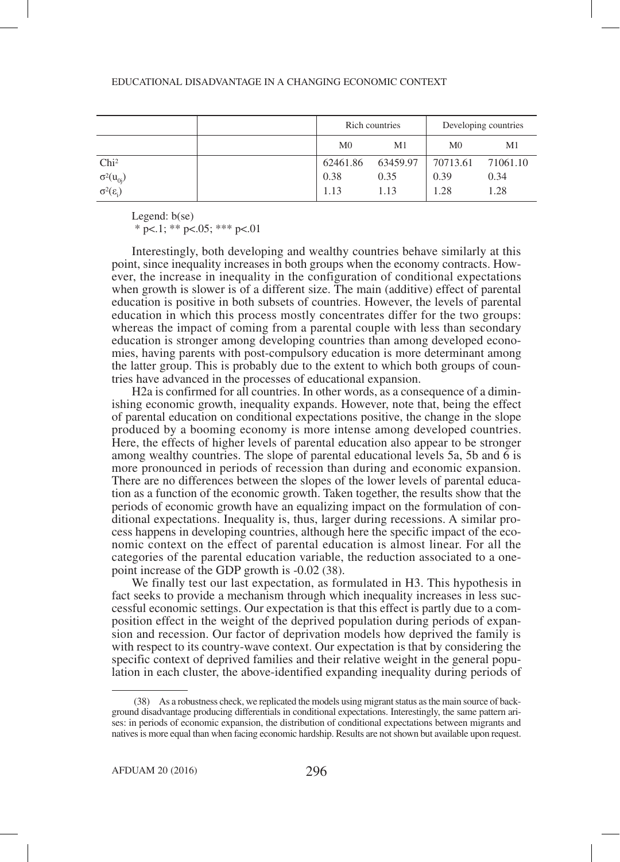| EDUCATIONAL DISADVANTAGE IN A CHANGING ECONOMIC CONTEXT |  |
|---------------------------------------------------------|--|
|---------------------------------------------------------|--|

|                                              | Rich countries |                | Developing countries |          |
|----------------------------------------------|----------------|----------------|----------------------|----------|
|                                              | M <sub>0</sub> | M <sub>1</sub> | M <sub>0</sub>       | M1       |
| Chi <sup>2</sup>                             | 62461.86       | 63459.97       | 70713.61             | 71061.10 |
|                                              | 0.38           | 0.35           | 0.39                 | 0.34     |
| $\sigma^2(u_{0j})$<br>$\sigma^2(\epsilon_i)$ | 1.13           | 1.13           | 1.28                 | 1.28     |

Legend: b(se)

 $*$  p $< 1$ ;  $*$  p $< 0.05$ ;  $*$   $*$  p $< 0.01$ 

Interestingly, both developing and wealthy countries behave similarly at this point, since inequality increases in both groups when the economy contracts. However, the increase in inequality in the configuration of conditional expectations when growth is slower is of a different size. The main (additive) effect of parental education is positive in both subsets of countries. However, the levels of parental education in which this process mostly concentrates differ for the two groups: whereas the impact of coming from a parental couple with less than secondary education is stronger among developing countries than among developed economies, having parents with post-compulsory education is more determinant among the latter group. This is probably due to the extent to which both groups of countries have advanced in the processes of educational expansion.

H2a is confirmed for all countries. In other words, as a consequence of a diminishing economic growth, inequality expands. However, note that, being the effect of parental education on conditional expectations positive, the change in the slope produced by a booming economy is more intense among developed countries. Here, the effects of higher levels of parental education also appear to be stronger among wealthy countries. The slope of parental educational levels 5a, 5b and 6 is more pronounced in periods of recession than during and economic expansion. There are no differences between the slopes of the lower levels of parental education as a function of the economic growth. Taken together, the results show that the periods of economic growth have an equalizing impact on the formulation of conditional expectations. Inequality is, thus, larger during recessions. A similar process happens in developing countries, although here the specific impact of the economic context on the effect of parental education is almost linear. For all the categories of the parental education variable, the reduction associated to a onepoint increase of the GDP growth is -0.02 (38).

We finally test our last expectation, as formulated in H3. This hypothesis in fact seeks to provide a mechanism through which inequality increases in less successful economic settings. Our expectation is that this effect is partly due to a composition effect in the weight of the deprived population during periods of expansion and recession. Our factor of deprivation models how deprived the family is with respect to its country-wave context. Our expectation is that by considering the specific context of deprived families and their relative weight in the general population in each cluster, the above-identified expanding inequality during periods of

 <sup>(38)</sup> As a robustness check, we replicated the models using migrant status as the main source of background disadvantage producing differentials in conditional expectations. Interestingly, the same pattern arises: in periods of economic expansion, the distribution of conditional expectations between migrants and natives is more equal than when facing economic hardship. Results are not shown but available upon request.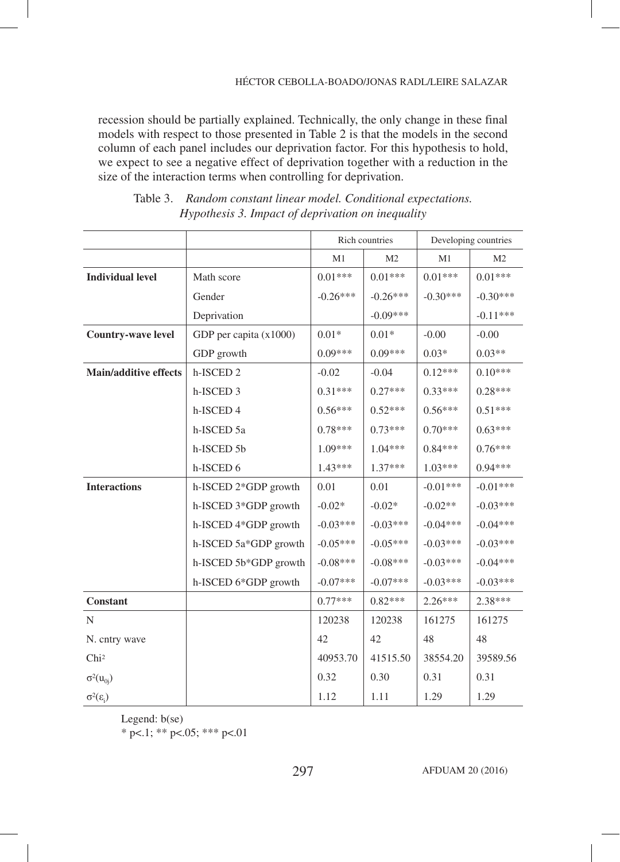recession should be partially explained. Technically, the only change in these final models with respect to those presented in Table 2 is that the models in the second column of each panel includes our deprivation factor. For this hypothesis to hold, we expect to see a negative effect of deprivation together with a reduction in the size of the interaction terms when controlling for deprivation.

|                              |                        |            | Rich countries | Developing countries |                |
|------------------------------|------------------------|------------|----------------|----------------------|----------------|
|                              |                        | M1         | M <sub>2</sub> | M1                   | M <sub>2</sub> |
| <b>Individual level</b>      | Math score             | $0.01***$  | $0.01***$      | $0.01***$            | $0.01***$      |
|                              | Gender                 | $-0.26***$ | $-0.26***$     | $-0.30***$           | $-0.30***$     |
|                              | Deprivation            |            | $-0.09***$     |                      | $-0.11***$     |
| <b>Country-wave level</b>    | GDP per capita (x1000) | $0.01*$    | $0.01*$        | $-0.00$              | $-0.00$        |
|                              | GDP growth             | $0.09***$  | $0.09***$      | $0.03*$              | $0.03**$       |
| <b>Main/additive effects</b> | h-ISCED <sub>2</sub>   | $-0.02$    | $-0.04$        | $0.12***$            | $0.10***$      |
|                              | h-ISCED 3              | $0.31***$  | $0.27***$      | $0.33***$            | $0.28***$      |
|                              | h-ISCED 4              | $0.56***$  | $0.52***$      | $0.56***$            | $0.51***$      |
|                              | h-ISCED 5a             | $0.78***$  | $0.73***$      | $0.70***$            | $0.63***$      |
|                              | h-ISCED 5b             | $1.09***$  | $1.04***$      | $0.84***$            | $0.76***$      |
|                              | h-ISCED 6              | $1.43***$  | $1.37***$      | $1.03***$            | $0.94***$      |
| <b>Interactions</b>          | h-ISCED 2*GDP growth   | 0.01       | 0.01           | $-0.01***$           | $-0.01***$     |
|                              | h-ISCED 3*GDP growth   | $-0.02*$   | $-0.02*$       | $-0.02**$            | $-0.03***$     |
|                              | h-ISCED 4*GDP growth   | $-0.03***$ | $-0.03***$     | $-0.04***$           | $-0.04***$     |
|                              | h-ISCED 5a*GDP growth  | $-0.05***$ | $-0.05***$     | $-0.03***$           | $-0.03***$     |
|                              | h-ISCED 5b*GDP growth  | $-0.08***$ | $-0.08***$     | $-0.03***$           | $-0.04***$     |
|                              | h-ISCED 6*GDP growth   | $-0.07***$ | $-0.07***$     | $-0.03***$           | $-0.03***$     |
| Constant                     |                        | $0.77***$  | $0.82***$      | $2.26***$            | $2.38***$      |
| $\mathbf N$                  |                        | 120238     | 120238         | 161275               | 161275         |
| N. cntry wave                |                        | 42         | 42             | 48                   | 48             |
| Chi <sup>2</sup>             |                        | 40953.70   | 41515.50       | 38554.20             | 39589.56       |
| $\sigma^2(u_{0i})$           |                        | 0.32       | 0.30           | 0.31                 | 0.31           |
| $\sigma^2(\epsilon_i)$       |                        | 1.12       | 1.11           | 1.29                 | 1.29           |

| Table 3. Random constant linear model. Conditional expectations. |
|------------------------------------------------------------------|
| Hypothesis 3. Impact of deprivation on inequality                |

Legend: b(se)

 $*$  p<.1; \*\* p<.05; \*\*\* p<.01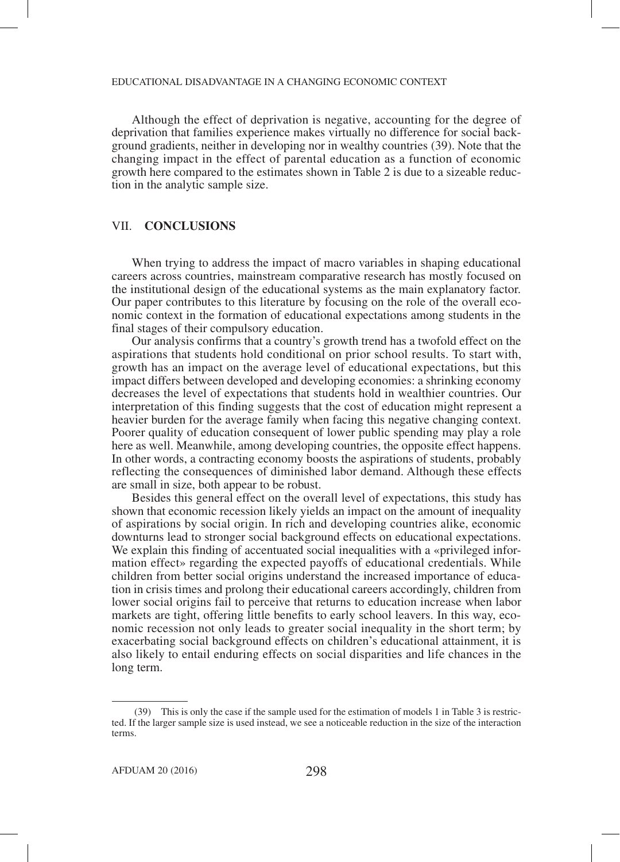Although the effect of deprivation is negative, accounting for the degree of deprivation that families experience makes virtually no difference for social background gradients, neither in developing nor in wealthy countries (39). Note that the changing impact in the effect of parental education as a function of economic growth here compared to the estimates shown in Table 2 is due to a sizeable reduction in the analytic sample size.

## VII. **CONCLUSIONS**

When trying to address the impact of macro variables in shaping educational careers across countries, mainstream comparative research has mostly focused on the institutional design of the educational systems as the main explanatory factor. Our paper contributes to this literature by focusing on the role of the overall economic context in the formation of educational expectations among students in the final stages of their compulsory education.

Our analysis confirms that a country's growth trend has a twofold effect on the aspirations that students hold conditional on prior school results. To start with, growth has an impact on the average level of educational expectations, but this impact differs between developed and developing economies: a shrinking economy decreases the level of expectations that students hold in wealthier countries. Our interpretation of this finding suggests that the cost of education might represent a heavier burden for the average family when facing this negative changing context. Poorer quality of education consequent of lower public spending may play a role here as well. Meanwhile, among developing countries, the opposite effect happens. In other words, a contracting economy boosts the aspirations of students, probably reflecting the consequences of diminished labor demand. Although these effects are small in size, both appear to be robust.

Besides this general effect on the overall level of expectations, this study has shown that economic recession likely yields an impact on the amount of inequality of aspirations by social origin. In rich and developing countries alike, economic downturns lead to stronger social background effects on educational expectations. We explain this finding of accentuated social inequalities with a «privileged information effect» regarding the expected payoffs of educational credentials. While children from better social origins understand the increased importance of education in crisis times and prolong their educational careers accordingly, children from lower social origins fail to perceive that returns to education increase when labor markets are tight, offering little benefits to early school leavers. In this way, economic recession not only leads to greater social inequality in the short term; by exacerbating social background effects on children's educational attainment, it is also likely to entail enduring effects on social disparities and life chances in the long term.

 <sup>(39)</sup> This is only the case if the sample used for the estimation of models 1 in Table 3 is restricted. If the larger sample size is used instead, we see a noticeable reduction in the size of the interaction terms.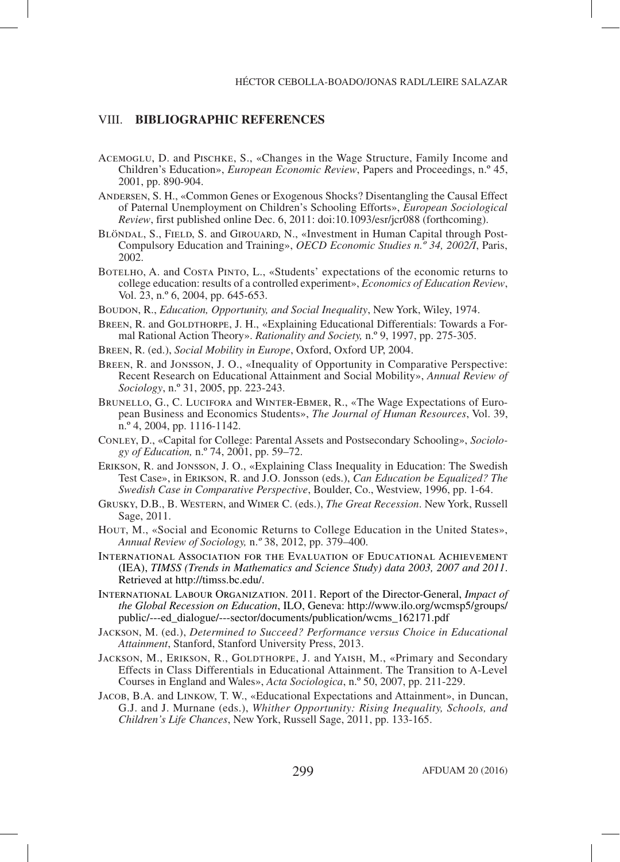# VIII. **BIBLIOGRAPHIC REFERENCES**

- Acemoglu, D. and Pischke, S., «Changes in the Wage Structure, Family Income and Children's Education», *European Economic Review*, Papers and Proceedings, n.º 45, 2001, pp. 890-904.
- Andersen, S. H., «Common Genes or Exogenous Shocks? Disentangling the Causal Effect of Paternal Unemployment on Children's Schooling Efforts», *European Sociological Review*, first published online Dec. 6, 2011: doi:10.1093/esr/jcr088 (forthcoming).
- BLÖNDAL, S., FIELD, S. and GIROUARD, N., «Investment in Human Capital through Post-Compulsory Education and Training», *OECD Economic Studies n.º 34, 2002/I*, Paris, 2002.
- BOTELHO, A. and COSTA PINTO, L., «Students' expectations of the economic returns to college education: results of a controlled experiment», *Economics of Education Review*, Vol. 23, n.º 6, 2004, pp. 645-653.
- Boudon, R., *Education, Opportunity, and Social Inequality*, New York, Wiley, 1974.
- BREEN, R. and GOLDTHORPE, J. H., «Explaining Educational Differentials: Towards a Formal Rational Action Theory». *Rationality and Society,* n.º 9, 1997, pp. 275-305.
- Breen, R. (ed.), *Social Mobility in Europe*, Oxford, Oxford UP, 2004.
- Breen, R. and Jonsson, J. O., «Inequality of Opportunity in Comparative Perspective: Recent Research on Educational Attainment and Social Mobility», *Annual Review of Sociology*, n.º 31, 2005, pp. 223-243.
- Brunello, G., C. Lucifora and Winter-Ebmer, R., «The Wage Expectations of European Business and Economics Students», *The Journal of Human Resources*, Vol. 39, n.º 4, 2004, pp. 1116-1142.
- Conley, D., «Capital for College: Parental Assets and Postsecondary Schooling», *Sociology of Education,* n.º 74, 2001, pp. 59–72.
- Erikson, R. and Jonsson, J. O., «Explaining Class Inequality in Education: The Swedish Test Case», in Erikson, R. and J.O. Jonsson (eds.), *Can Education be Equalized? The Swedish Case in Comparative Perspective*, Boulder, Co., Westview, 1996, pp. 1-64.
- Grusky, D.B., B. Western, and Wimer C. (eds.), *The Great Recession*. New York, Russell Sage, 2011.
- Hour, M., «Social and Economic Returns to College Education in the United States», *Annual Review of Sociology,* n.*º* 38, 2012, pp. 379–400.
- International Association for the Evaluation of Educational Achievement (IEA), *TIMSS (Trends in Mathematics and Science Study) data 2003, 2007 and 2011*. Retrieved at http://timss.bc.edu/.
- International Labour Organization. 2011. Report of the Director-General, *Impact of the Global Recession on Education*, ILO, Geneva: http://www.ilo.org/wcmsp5/groups/ public/---ed\_dialogue/---sector/documents/publication/wcms\_162171.pdf
- Jackson, M. (ed.), *Determined to Succeed? Performance versus Choice in Educational Attainment*, Stanford, Stanford University Press, 2013.
- JACKSON, M., ERIKSON, R., GOLDTHORPE, J. and YAISH, M., «Primary and Secondary Effects in Class Differentials in Educational Attainment. The Transition to A-Level Courses in England and Wales», *Acta Sociologica*, n.º 50, 2007, pp. 211-229.
- Jacob, B.A. and Linkow, T. W., «Educational Expectations and Attainment», in Duncan, G.J. and J. Murnane (eds.), *Whither Opportunity: Rising Inequality, Schools, and Children's Life Chances*, New York, Russell Sage, 2011, pp. 133-165.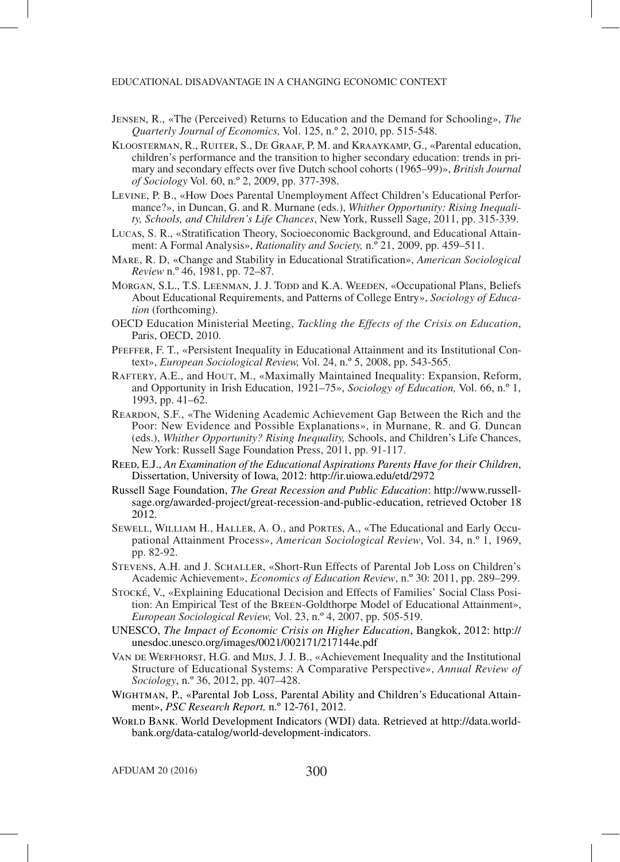- Jensen, R., «The (Perceived) Returns to Education and the Demand for Schooling», *The Quarterly Journal of Economics,* Vol. 125, n.º 2, 2010, pp. 515-548.
- Kloosterman, R., Ruiter, S., De Graaf, P. M. and Kraaykamp, G., «Parental education, children's performance and the transition to higher secondary education: trends in primary and secondary effects over five Dutch school cohorts (1965–99)», *British Journal of Sociology* Vol. 60, n.º 2, 2009, pp. 377-398.
- Levine, P. B., «How Does Parental Unemployment Affect Children's Educational Performance?», in Duncan, G. and R. Murnane (eds.), *Whither Opportunity: Rising Inequality, Schools, and Children's Life Chances*, New York, Russell Sage, 2011, pp. 315-339.
- Lucas, S. R., «Stratification Theory, Socioeconomic Background, and Educational Attainment: A Formal Analysis», *Rationality and Society,* n.º 21, 2009, pp. 459–511.
- Mare, R. D, «Change and Stability in Educational Stratification», *American Sociological Review* n.º 46, 1981, pp. 72–87.
- MORGAN, S.L., T.S. LEENMAN, J. J. TODD and K.A. WEEDEN, «Occupational Plans, Beliefs About Educational Requirements, and Patterns of College Entry», *Sociology of Education* (forthcoming).
- OECD Education Ministerial Meeting, *Tackling the Effects of the Crisis on Education*, Paris, OECD, 2010.
- Pfeffer, F. T., «Persistent Inequality in Educational Attainment and its Institutional Context», *European Sociological Review,* Vol. 24, n.º 5, 2008, pp. 543-565.
- Raftery, A.E., and Hout, M., «Maximally Maintained Inequality: Expansion, Reform, and Opportunity in Irish Education, 1921–75», *Sociology of Education,* Vol. 66, n.º 1, 1993, pp. 41–62.
- Reardon, S.F., «The Widening Academic Achievement Gap Between the Rich and the Poor: New Evidence and Possible Explanations», in Murnane, R. and G. Duncan (eds.), *Whither Opportunity? Rising Inequality,* Schools, and Children's Life Chances, New York: Russell Sage Foundation Press, 2011, pp. 91-117.
- REED, E.J., An Examination of the Educational Aspirations Parents Have for their Children, Dissertation, University of Iowa, 2012: http://ir.uiowa.edu/etd/2972
- Russell Sage Foundation, *The Great Recession and Public Education*: http://www.russellsage.org/awarded-project/great-recession-and-public-education, retrieved October 18 2012.
- Sewell, William H., Haller, A. O., and Portes, A., «The Educational and Early Occupational Attainment Process», *American Sociological Review*, Vol. 34, n.º 1, 1969, pp. 82-92.
- Stevens, A.H. and J. Schaller, «Short-Run Effects of Parental Job Loss on Children's Academic Achievement», *Economics of Education Review*, n.º 30: 2011, pp. 289–299.
- STOCKÉ, V., «Explaining Educational Decision and Effects of Families' Social Class Position: An Empirical Test of the Breen-Goldthorpe Model of Educational Attainment», *European Sociological Review,* Vol. 23, n.º 4, 2007, pp. 505-519.
- UNESCO, *The Impact of Economic Crisis on Higher Education*, Bangkok, 2012: http:// unesdoc.unesco.org/images/0021/002171/217144e.pdf
- VAN DE WERFHORST, H.G. and MIJS, J. J. B., «Achievement Inequality and the Institutional Structure of Educational Systems: A Comparative Perspective», *Annual Review of Sociology*, n.º 36, 2012, pp. 407–428.
- Wightman, P., «Parental Job Loss, Parental Ability and Children's Educational Attainment», *PSC Research Report,* n.º 12-761, 2012.
- WORLD BANK. World Development Indicators (WDI) data. Retrieved at http://data.worldbank.org/data-catalog/world-development-indicators.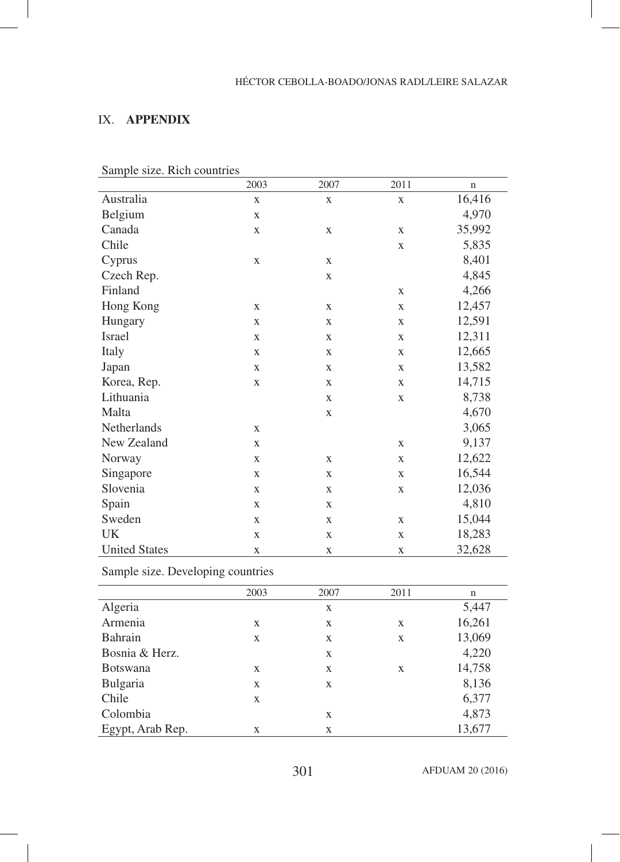# IX. **APPENDIX**

|                      | 2003         | 2007        | 2011         | $\mathbf n$ |
|----------------------|--------------|-------------|--------------|-------------|
| Australia            | $\mathbf X$  | $\mathbf X$ | $\mathbf X$  | 16,416      |
| Belgium              | $\mathbf X$  |             |              | 4,970       |
| Canada               | $\mathbf X$  | $\mathbf X$ | X            | 35,992      |
| Chile                |              |             | $\mathbf X$  | 5,835       |
| Cyprus               | $\mathbf X$  | $\mathbf X$ |              | 8,401       |
| Czech Rep.           |              | $\mathbf X$ |              | 4,845       |
| Finland              |              |             | X            | 4,266       |
| Hong Kong            | $\mathbf X$  | $\mathbf X$ | $\mathbf X$  | 12,457      |
| Hungary              | $\mathbf{X}$ | $\mathbf X$ | X            | 12,591      |
| Israel               | $\mathbf X$  | $\mathbf X$ | $\mathbf{X}$ | 12,311      |
| Italy                | $\mathbf X$  | $\mathbf X$ | X            | 12,665      |
| Japan                | $\mathbf X$  | $\mathbf X$ | $\mathbf{X}$ | 13,582      |
| Korea, Rep.          | $\mathbf X$  | $\mathbf X$ | X            | 14,715      |
| Lithuania            |              | $\mathbf X$ | $\mathbf X$  | 8,738       |
| Malta                |              | $\mathbf X$ |              | 4,670       |
| Netherlands          | $\mathbf X$  |             |              | 3,065       |
| New Zealand          | $\mathbf X$  |             | $\mathbf X$  | 9,137       |
| Norway               | $\mathbf X$  | $\mathbf X$ | $\mathbf X$  | 12,622      |
| Singapore            | $\mathbf X$  | $\mathbf X$ | $\mathbf X$  | 16,544      |
| Slovenia             | $\mathbf X$  | $\mathbf X$ | $\mathbf X$  | 12,036      |
| Spain                | $\mathbf{X}$ | $\mathbf X$ |              | 4,810       |
| Sweden               | $\mathbf X$  | $\mathbf X$ | $\mathbf{X}$ | 15,044      |
| UK                   | $\mathbf X$  | $\mathbf X$ | $\mathbf X$  | 18,283      |
| <b>United States</b> | $\mathbf X$  | $\mathbf X$ | $\mathbf X$  | 32,628      |

Sample size. Rich countries

Sample size. Developing countries

|                  | 2003 | 2007 | 2011 | n      |
|------------------|------|------|------|--------|
| Algeria          |      | X    |      | 5,447  |
| Armenia          | X    | X    | X    | 16,261 |
| Bahrain          | X    | X    | X    | 13,069 |
| Bosnia & Herz.   |      | X    |      | 4,220  |
| <b>Botswana</b>  | X    | X    | X    | 14,758 |
| Bulgaria         | X    | X    |      | 8,136  |
| Chile            | X    |      |      | 6,377  |
| Colombia         |      | X    |      | 4,873  |
| Egypt, Arab Rep. | X    | X    |      | 13,677 |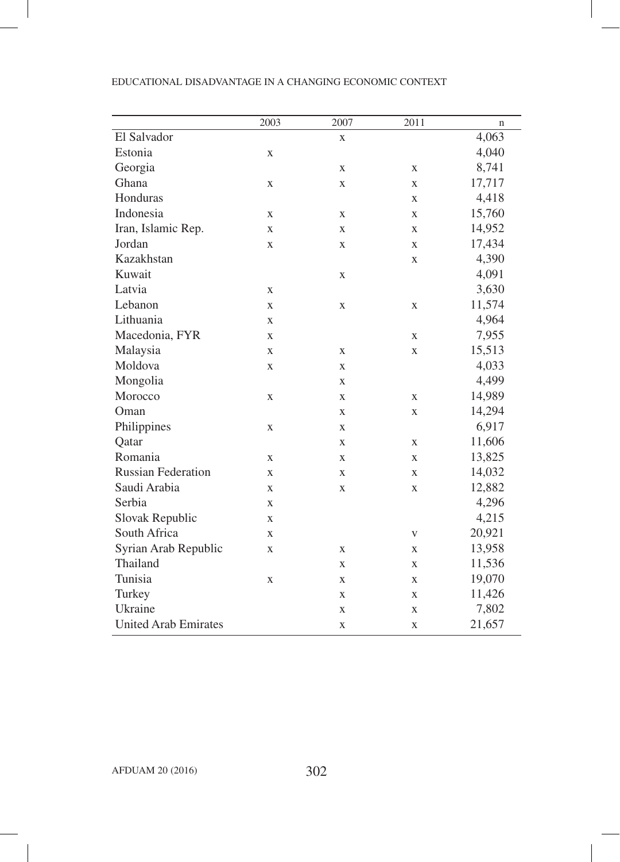|                             | 2003     | 2007        | 2011         | $\mathbf n$ |
|-----------------------------|----------|-------------|--------------|-------------|
| El Salvador                 |          | X           |              | 4,063       |
| Estonia                     | X        |             |              | 4,040       |
| Georgia                     |          | $\mathbf X$ | X            | 8,741       |
| Ghana                       | X        | $\mathbf X$ | X            | 17,717      |
| Honduras                    |          |             | X            | 4,418       |
| Indonesia                   | X        | X           | $\mathbf{X}$ | 15,760      |
| Iran, Islamic Rep.          | X        | $\mathbf X$ | X            | 14,952      |
| Jordan                      | X        | X           | X            | 17,434      |
| Kazakhstan                  |          |             | X            | 4,390       |
| Kuwait                      |          | $\mathbf X$ |              | 4,091       |
| Latvia                      | X        |             |              | 3,630       |
| Lebanon                     | X        | $\mathbf X$ | X            | 11,574      |
| Lithuania                   | X        |             |              | 4,964       |
| Macedonia, FYR              | X        |             | $\mathbf{X}$ | 7,955       |
| Malaysia                    | X        | $\mathbf X$ | $\mathbf X$  | 15,513      |
| Moldova                     | X        | $\mathbf X$ |              | 4,033       |
| Mongolia                    |          | X           |              | 4,499       |
| Morocco                     | X        | $\mathbf X$ | $\mathbf{X}$ | 14,989      |
| Oman                        |          | $\mathbf X$ | $\bf{X}$     | 14,294      |
| Philippines                 | X        | X           |              | 6,917       |
| Qatar                       |          | X           | X            | 11,606      |
| Romania                     | X        | $\mathbf X$ | $\mathbf{X}$ | 13,825      |
| <b>Russian Federation</b>   | $\bf{X}$ | $\mathbf X$ | $\mathbf{X}$ | 14,032      |
| Saudi Arabia                | X        | X           | X            | 12,882      |
| Serbia                      | X        |             |              | 4,296       |
| Slovak Republic             | X        |             |              | 4,215       |
| South Africa                | X        |             | $\mathbf{V}$ | 20,921      |
| Syrian Arab Republic        | X        | X           | X            | 13,958      |
| Thailand                    |          | X           | X            | 11,536      |
| Tunisia                     | X        | X           | $\mathbf{X}$ | 19,070      |
| Turkey                      |          | X           | X            | 11,426      |
| Ukraine                     |          | X           | X            | 7,802       |
| <b>United Arab Emirates</b> |          | $\mathbf X$ | $\mathbf X$  | 21,657      |

 $\overline{\phantom{a}}$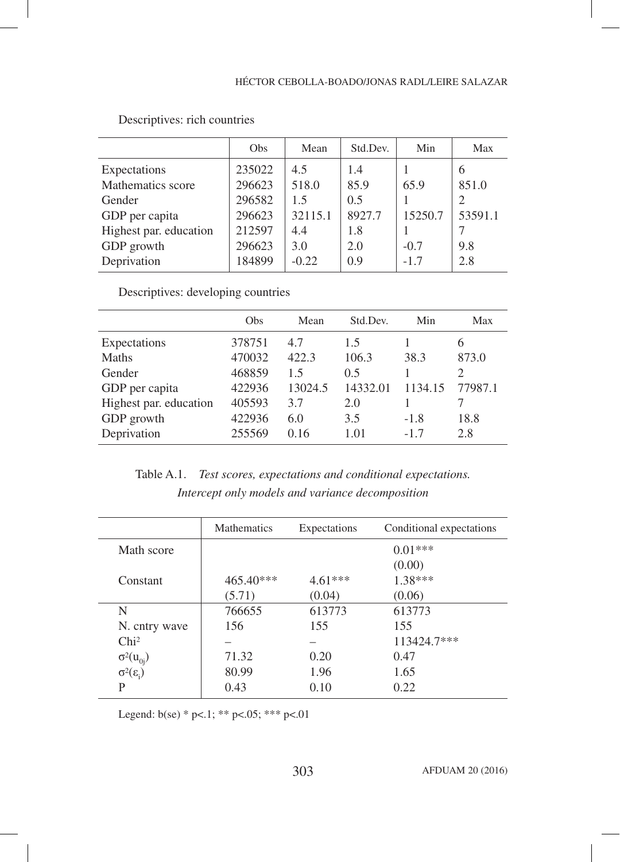|                        | <b>Obs</b> | Mean    | Std.Dev. | Min     | Max     |
|------------------------|------------|---------|----------|---------|---------|
| Expectations           | 235022     | 4.5     | 1.4      |         | 6       |
| Mathematics score      | 296623     | 518.0   | 85.9     | 65.9    | 851.0   |
| Gender                 | 296582     | 1.5     | 0.5      |         | 2       |
| GDP per capita         | 296623     | 32115.1 | 8927.7   | 15250.7 | 53591.1 |
| Highest par. education | 212597     | 4.4     | 1.8      |         |         |
| GDP growth             | 296623     | 3.0     | 2.0      | $-0.7$  | 9.8     |
| Deprivation            | 184899     | $-0.22$ | 0.9      | $-1.7$  | 2.8     |

# Descriptives: rich countries

Descriptives: developing countries

|                        | Obs    | Mean    | Std.Dev. | Min     | Max                         |
|------------------------|--------|---------|----------|---------|-----------------------------|
| Expectations           | 378751 | 4.7     | 1.5      |         | 6                           |
| Maths                  | 470032 | 422.3   | 106.3    | 38.3    | 873.0                       |
| Gender                 | 468859 | 15      | 0.5      |         | $\mathcal{D}_{\mathcal{L}}$ |
| GDP per capita         | 422936 | 13024.5 | 14332.01 | 1134.15 | 77987.1                     |
| Highest par. education | 405593 | 3.7     | 2.0      |         |                             |
| GDP growth             | 422936 | 6.0     | 3.5      | $-1.8$  | 18.8                        |
| Deprivation            | 255569 | 0.16    | 1.01     | $-1.7$  | 2.8                         |

Table A.1. *Test scores, expectations and conditional expectations. Intercept only models and variance decomposition*

|                                              | <b>Mathematics</b> | Expectations | Conditional expectations |
|----------------------------------------------|--------------------|--------------|--------------------------|
| Math score                                   |                    |              | $0.01***$                |
|                                              |                    |              | (0.00)                   |
| Constant                                     | 465.40***          | $4.61***$    | $1.38***$                |
|                                              | (5.71)             | (0.04)       | (0.06)                   |
| N                                            | 766655             | 613773       | 613773                   |
| N. cntry wave                                | 156                | 155          | 155                      |
| Chi <sup>2</sup>                             |                    |              | 113424.7***              |
|                                              | 71.32              | 0.20         | 0.47                     |
| $\sigma^2(u_{0j})$<br>$\sigma^2(\epsilon_i)$ | 80.99              | 1.96         | 1.65                     |
| P                                            | 0.43               | 0.10         | 0.22                     |

Legend: b(se) \* p<.1; \*\* p<.05; \*\*\* p<.01